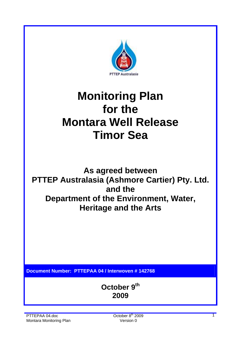

# **Monitoring Plan for the Montara Well Release Timor Sea**

**As agreed between PTTEP Australasia (Ashmore Cartier) Pty. Ltd. and the Department of the Environment, Water, Heritage and the Arts** 

**Document Number: PTTEPAA 04 / Interwoven # 142768** 

**October 9th 2009**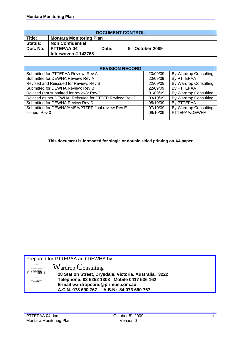| <b>DOCUMENT CONTROL</b> |                                                      |  |  |  |  |  |  |
|-------------------------|------------------------------------------------------|--|--|--|--|--|--|
| Title:                  | <b>Montara Monitoring Plan</b>                       |  |  |  |  |  |  |
| Status:                 | <b>Non Confidential</b>                              |  |  |  |  |  |  |
| Doc. No.                | $19^{th}$ October 2009<br><b>PTTEPAA 04</b><br>Date: |  |  |  |  |  |  |
|                         | Interwoven #142768                                   |  |  |  |  |  |  |

| <b>REVISION RECORD</b>                                 |          |                       |  |  |  |  |  |  |
|--------------------------------------------------------|----------|-----------------------|--|--|--|--|--|--|
| Submitted for PTTEPAA Review: Rev A                    | 20/09/09 | By Wardrop Consulting |  |  |  |  |  |  |
| Submitted for DEWHA Review: Rev A                      | 20/09/09 | By PTTEPAA            |  |  |  |  |  |  |
| Revised and Reissued for Review: Rev B                 | 22/09/09 | By Wardrop Consulting |  |  |  |  |  |  |
| Submitted for DEWHA Review: Rev B                      | 22/09/09 | By PTTEPAA            |  |  |  |  |  |  |
| Revised (not submitted for review): Rev C              | 01/09/09 | By Wardrop Consulting |  |  |  |  |  |  |
| Revised as per DEWHA. Reissued for PTTEP Review: Rev D | 03/10/09 | By Wardrop Consulting |  |  |  |  |  |  |
| Submitted for DEWHA Review Rev D                       | 05/10/09 | By PTTEPAA            |  |  |  |  |  |  |
| Submitted for DEWHA/AMSA/PTTEP final review Rev E      | 07/10/09 | By Wardrop Consulting |  |  |  |  |  |  |
| Issued: Rev 0                                          | 09/10/09 | PTTEPAA/DEWHA         |  |  |  |  |  |  |
|                                                        |          |                       |  |  |  |  |  |  |

**This document is formatted for single or double sided printing on A4 paper** 

Prepared for PTTEPAA and DEWHA by



Wardrop Consulting **28 Station Street, Drysdale, Victoria. Australia, 3222 Telephone: 03 5252 1303 Mobile 0417 536 162 E-mail wardropcons@primus.com.au A.C.N. 073 690 767 A.B.N: 84 073 690 767**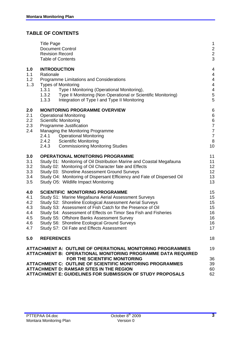# **TABLE OF CONTENTS**

|                                                      | <b>Title Page</b><br><b>Document Control</b><br><b>Revision Record</b><br><b>Table of Contents</b>                                                                                                                                                                                                                                                                                                                                      | 1<br>$\overline{2}$<br>$\overline{c}$<br>3                                                               |
|------------------------------------------------------|-----------------------------------------------------------------------------------------------------------------------------------------------------------------------------------------------------------------------------------------------------------------------------------------------------------------------------------------------------------------------------------------------------------------------------------------|----------------------------------------------------------------------------------------------------------|
| 1.0<br>1.1<br>1.2<br>13                              | <b>INTRODUCTION</b><br>Rationale<br>Programme Limitations and Considerations<br><b>Types of Monitoring</b><br>Type I Monitoring (Operational Monitoring),<br>1.3.1<br>1.3.2<br>Type II Monitoring (Non Operational or Scientific Monitoring)<br>1.3.3<br>Integration of Type I and Type II Monitoring                                                                                                                                   | 4<br>4<br>4<br>4<br>4<br>5<br>5                                                                          |
| 2.0<br>2.1<br>2.2<br>2.3<br>2.4                      | <b>MONITORING PROGRAMME OVERVIEW</b><br><b>Operational Monitoring</b><br><b>Scientific Monitoring</b><br>Programme Justification<br>Managing the Monitoring Programme<br>2.4.1<br><b>Operational Monitoring</b><br>2.4.2<br><b>Scientific Monitoring</b><br>2.4.3<br><b>Commissioning Monitoring Studies</b>                                                                                                                            | 6<br>$\boldsymbol{6}$<br>$\overline{6}$<br>$\overline{7}$<br>$\overline{7}$<br>$\overline{7}$<br>8<br>10 |
| 3.0<br>3.1<br>3.2<br>3.3<br>3.4<br>3.5               | <b>OPERATIONAL MONITORING PROGRAMME</b><br>Study 01: Monitoring of Oil Distribution Marine and Coastal Megafauna<br>Study 02: Monitoring of Oil Character fate and Effects<br>Study 03: Shoreline Assessment Ground Surveys<br>Study O4: Monitoring of Dispersant Efficiency and Fate of Dispersed Oil<br>Study O5: Wildlife Impact Monitoring                                                                                          | 11<br>11<br>12<br>12<br>13<br>13                                                                         |
| 4.0<br>4.1<br>4.2<br>4.3<br>4.4<br>4.5<br>4.6<br>4.7 | <b>SCIENTIFIC MONITORING PROGRAMME</b><br>Study S1: Marine Megafauna Aerial Assessment Surveys<br>Study S2: Shoreline Ecological Assessment Aerial Surveys<br>Study S3: Assessment of Fish Catch for the Presence of Oil<br>Study S4: Assessment of Effects on Timor Sea Fish and Fisheries<br>Study S5: Offshore Banks Assessment Survey<br>Study S6: Shoreline Ecological Ground Surveys<br>Study S7: Oil Fate and Effects Assessment | 15<br>15<br>15<br>15<br>16<br>16<br>16<br>17                                                             |
| 5.0                                                  | <b>REFERENCES</b>                                                                                                                                                                                                                                                                                                                                                                                                                       | 18                                                                                                       |
|                                                      | ATTACHMENT A: OUTLINE OF OPERATIONAL MONITORING PROGRAMMES<br>ATTACHMENT B: OPERATIONAL MONITORING PROGRAMME DATA REQUIRED                                                                                                                                                                                                                                                                                                              | 19                                                                                                       |
|                                                      | FOR THE SCIENTIFIC MONITORING<br>ATTACHMENT C: OUTLINE OF SCIENTIFIC MONITORING PROGRAMMES<br><b>ATTACHMENT D: RAMSAR SITES IN THE REGION</b><br><b>ATTACHMENT E: GUIDELINES FOR SUBMISSION OF STUDY PROPOSALS</b>                                                                                                                                                                                                                      | 36<br>39<br>60<br>62                                                                                     |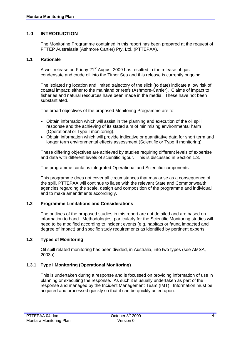# **1.0 INTRODUCTION**

The Monitoring Programme contained in this report has been prepared at the request of PTTEP Australasia (Ashmore Cartier) Pty. Ltd. (PTTEPAA).

#### **1.1 Rationale**

A well release on Friday 21 $\mathrm{^{st}}$  August 2009 has resulted in the release of gas, condensate and crude oil into the Timor Sea and this release is currently ongoing.

 The isolated rig location and limited trajectory of the slick (to date) indicate a low risk of coastal impact; either to the mainland or reefs (Ashmore-Cartier). Claims of impact to fisheries and natural resources have been made in the media. These have not been substantiated.

The broad objectives of the proposed Monitoring Programme are to:

- Obtain information which will assist in the planning and execution of the oil spill response and the achieving of its stated aim of minimising environmental harm (Operational or Type I monitoring).
- Obtain information which will provide indicative or quantitative data for short term and longer term environmental effects assessment (Scientific or Type II monitoring).

 These differing objectives are achieved by studies requiring different levels of expertise and data with different levels of scientific rigour. This is discussed in Section 1.3.

The programme contains integrated Operational and Scientific components.

 This programme does not cover all circumstances that may arise as a consequence of the spill. PTTEPAA will continue to liaise with the relevant State and Commonwealth agencies regarding the scale, design and composition of the programme and individual and to make amendments accordingly.

#### **1.2 Programme Limitations and Considerations**

 The outlines of the proposed studies in this report are not detailed and are based on information to hand. Methodologies, particularly for the Scientific Monitoring studies will need to be modified according to incident events (e.g. habitats or fauna impacted and degree of impact) and specific study requirements as identified by pertinent experts.

#### **1.3 Types of Monitoring**

 Oil spill related monitoring has been divided, in Australia, into two types (see AMSA, 2003a).

#### **1.3.1 Type I Monitoring (Operational Monitoring)**

 This is undertaken during a response and is focussed on providing information of use in planning or executing the response. As such it is usually undertaken as part of the response and managed by the Incident Management Team (IMT). Information must be acquired and processed quickly so that it can be quickly acted upon.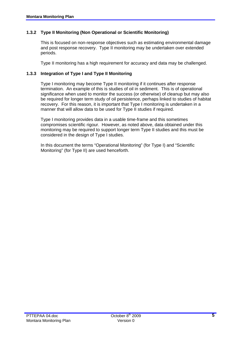# **1.3.2 Type II Monitoring (Non Operational or Scientific Monitoring)**

 This is focused on non-response objectives such as estimating environmental damage and post response recovery. Type II monitoring may be undertaken over extended periods.

Type II monitoring has a high requirement for accuracy and data may be challenged.

#### **1.3.3 Integration of Type I and Type II Monitoring**

 Type I monitoring may become Type II monitoring if it continues after response termination. An example of this is studies of oil in sediment. This is of operational significance when used to monitor the success (or otherwise) of cleanup but may also be required for longer term study of oil persistence, perhaps linked to studies of habitat recovery. For this reason, it is important that Type I monitoring is undertaken in a manner that will allow data to be used for Type II studies if required.

 Type I monitoring provides data in a usable time-frame and this sometimes compromises scientific rigour. However, as noted above, data obtained under this monitoring may be required to support longer term Type II studies and this must be considered in the design of Type I studies.

 In this document the terms "Operational Monitoring" (for Type I) and "Scientific Monitoring" (for Type II) are used henceforth.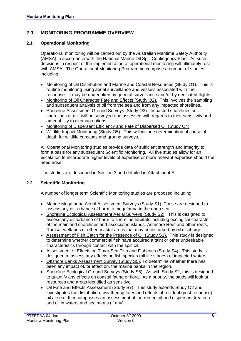# **2.0 MONITORING PROGRAMME OVERVIEW**

# **2.1 Operational Monitoring**

 Operational monitoring will be carried out by the Australian Maritime Safety Authority (AMSA) in accordance with the National Marine Oil Spill Contingency Plan. As such, decisions in respect of the implementation of operational monitoring will ultimately rest with AMSA. The Operational Monitoring Programme comprise a number of studies including:

- Monitoring of Oil Distribution and Marine and Coastal Resources (Study O1). This is routine monitoring using aerial surveillance and vessels associated with the response. It may be undertaken by general surveillance and/or by dedicated flights.
- Monitoring of Oil Character Fate and Effects (Study O2). This involves the sampling and subsequent analysis of oil from the sea and from any impacted shorelines.
- Shoreline Assessment Ground Surveys (Study O3). Impacted shorelines or shorelines at risk will be surveyed and assessed with regards to their sensitivity and amenability to cleanup options.
- Monitoring of Dispersant Efficiency and Fate of Dispersed Oil (Study O4).
- Wildlife Impact Monitoring (Study O5). This will include determination of cause of death for wildlife carcases and ground surveys.

 All Operational Monitoring studies provide data of sufficient strength and integrity to form a basis for any subsequent Scientific Monitoring. All five studies allow for an escalation to incorporate higher levels of expertise or more relevant expertise should the need arise.

The studies are described in Section 3 and detailed in Attachment A.

#### **2.2 Scientific Monitoring**

A number of longer term Scientific Monitoring studies are proposed including:

- Marine Megafauna Aerial Assessment Surveys (Study S1). These are designed to assess any disturbance of harm to megafauna in the open sea.
- Shoreline Ecological Assessment Aerial Surveys (Study S2). This is designed to assess any disturbance of harm to shoreline habitats including ecological character of the mainland shorelines and associated islands, Ashmore Reef and other reefs, Ramsar wetlands or other coastal areas that may be disturbed by oil discharge.
- Assessment of Fish Catch for the Presence of Oil (Study S3). This study is designed to determine whether commercial fish have acquired a taint or other undesirable characteristics through contact with the spilt oil.
- Assessment of Effects on Timor Sea Fish and Fisheries (Study S4). This study is designed to assess any effects on fish species (all life stages) of impacted waters.
- Offshore Banks Assessment Survey (Study S5). To determine whether there has been any impact of, or effect on, the marine banks in the region.
- Shoreline Ecological Ground Surveys (Study S6). As with Study S2, this is designed to quantify any effects on coastal fauna or flora. As a priority, the study will look at resources and areas identified as sensitive.
- Oil Fate and Effects Assessment (Study S7). This study extends Study O2 and investigates the distribution, weathering fates and effects of residual (post response) oil at sea. It encompasses an assessment of, untreated oil and dispersant treated oil and oil in waters and sediments (if any).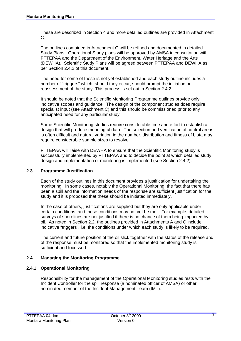These are described in Section 4 and more detailed outlines are provided in Attachment C.

 The outlines contained in Attachment C will be refined and documented in detailed Study Plans. Operational Study plans will be approved by AMSA in consultation with PTTEPAA and the Department of the Environment, Water Heritage and the Arts (DEWHA). Scientific Study Plans will be agreed between PTTEPAA and DEWHA as per Section 2.4.2 of this document.

 The need for some of these is not yet established and each study outline includes a number of "triggers" which, should they occur, should prompt the initiation or reassessment of the study. This process is set out in Section 2.4.2.

 It should be noted that the Scientific Monitoring Programme outlines provide only indicative scopes and guidance. The design of the component studies does require specialist input (see Attachment C) and this should be commissioned prior to any anticipated need for any particular study.

 Some Scientific Monitoring studies require considerable time and effort to establish a design that will produce meaningful data. The selection and verification of control areas is often difficult and natural variation in the number, distribution and fitness of biota may require considerable sample sizes to resolve.

 PTTEPAA will liaise with DEWHA to ensure that the Scientific Monitoring study is successfully implemented by PTTEPAA and to decide the point at which detailed study design and implementation of monitoring is implemented (see Section 2.4.2).

#### **2.3 Programme Justification**

 Each of the study outlines in this document provides a justification for undertaking the monitoring. In some cases, notably the Operational Monitoring, the fact that there has been a spill and the information needs of the response are sufficient justification for the study and it is proposed that these should be initiated immediately.

 In the case of others, justifications are supplied but they are only applicable under certain conditions, and these conditions may not yet be met. For example, detailed surveys of shorelines are not justified if there is no chance of them being impacted by oil. As noted in Section 2.2, the outlines provided in Attachments A and C include indicative "triggers", i.e. the conditions under which each study is likely to be required.

 The current and future position of the oil slick together with the status of the release and of the response must be monitored so that the implemented monitoring study is sufficient and focussed.

# **2.4 Managing the Monitoring Programme**

#### **2.4.1 Operational Monitoring**

 Responsibility for the management of the Operational Monitoring studies rests with the Incident Controller for the spill response (a nominated officer of AMSA) or other nominated member of the Incident Management Team (IMT).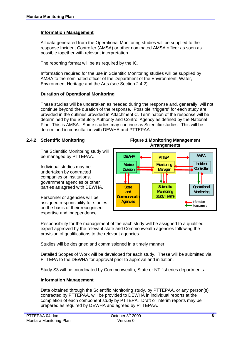#### **Information Management**

 All data generated from the Operational Monitoring studies will be supplied to the response Incident Controller (AMSA) or other nominated AMSA officer as soon as possible together with relevant interpretation.

The reporting format will be as required by the IC.

 Information required for the use in Scientific Monitoring studies will be supplied by AMSA to the nominated officer of the Department of the Environment, Water, Environment Heritage and the Arts (see Section 2.4.2).

#### **Duration of Operational Monitoring**

 These studies will be undertaken as needed during the response and, generally, will not continue beyond the duration of the response. Possible "triggers" for each study are provided in the outlines provided in Attachment C. Termination of the response will be determined by the Statutory Authority and Control Agency as defined by the National Plan. This is AMSA. Some studies may continue as Scientific studies. This will be determined in consultation with DEWHA and PTTEPAA.

#### **2.4.2 Scientific Monitoring**

The Scientific Monitoring study will be managed by PTTEPAA.

Individual studies may be undertaken by contracted companies or institutions, government agencies or other parties as agreed with DEWHA.

Personnel or agencies will be assigned responsibility for studies on the basis of their recognised expertise and independence.

**Figure 1 Monitoring Management Arrangements** 



 Responsibility for the management of the each study will be assigned to a qualified expert approved by the relevant state and Commonwealth agencies following the provision of qualifications to the relevant agencies.

Studies will be designed and commissioned in a timely manner.

 Detailed Scopes of Work will be developed for each study. These will be submitted via PTTEPA to the DEWHA for approval prior to approval and initiation.

Study S3 will be coordinated by Commonwealth, State or NT fisheries departments.

#### **Information Management**

 Data obtained through the Scientific Monitoring study, by PTTEPAA, or any person(s) contracted by PTTEPAA, will be provided to DEWHA in individual reports at the completion of each component study by PTTEPA. Draft or interim reports may be prepared as required by DEWHA and agreed by PTTEPAA.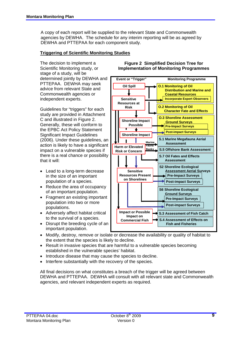A copy of each report will be supplied to the relevant State and Commonwealth agencies by DEWHA. The schedule for any interim reporting will be as agreed by DEWHA and PTTEPAA for each component study.

#### **Triggering of Scientific Monitoring Studies**

The decision to implement a Scientific Monitoring study, or stage of a study, will be determined jointly by DEWHA and PTTEPAA. DEWHA may seek advice from relevant State and Commonwealth agencies or independent experts.

Guidelines for "triggers" for each study are provided in Attachment C and illustrated in Figure 2. Generally, these will conform to the EPBC Act Policy Statement Significant Impact Guidelines (2006). Under these guidelines, an action is likely to have a significant impact on a vulnerable species if there is a real chance or possibility that it will:

- Lead to a long-term decrease in the size of an important population of a species.
- Reduce the area of occupancy of an important population.
- Fragment an existing important population into two or more populations.
- Adversely affect habitat critical to the survival of a species.
- Disrupt the breeding cycle of an important population.

**Figure 2 Simplified Decision Tree for Implementation of Monitoring Programmes**



- Modify, destroy, remove or isolate or decrease the availability or quality of habitat to the extent that the species is likely to decline.
- Result in invasive species that are harmful to a vulnerable species becoming established in the vulnerable species' habitat.
- Introduce disease that may cause the species to decline.
- Interfere substantially with the recovery of the species.

 All final decisions on what constitutes a breach of the trigger will be agreed between DEWHA and PTTEPAA. DEWHA will consult with all relevant state and Commonwealth agencies, and relevant independent experts as required.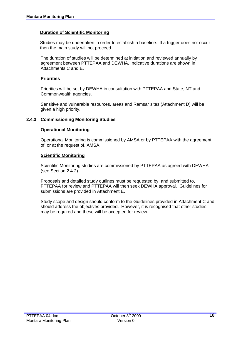#### **Duration of Scientific Monitoring**

Studies may be undertaken in order to establish a baseline. If a trigger does not occur then the main study will not proceed.

 The duration of studies will be determined at initiation and reviewed annually by agreement between PTTEPAA and DEWHA. Indicative durations are shown in Attachments C and E.

#### **Priorities**

 Priorities will be set by DEWHA in consultation with PTTEPAA and State, NT and Commonwealth agencies.

 Sensitive and vulnerable resources, areas and Ramsar sites (Attachment D) will be given a high priority.

#### **2.4.3 Commissioning Monitoring Studies**

#### **Operational Monitoring**

 Operational Monitoring is commissioned by AMSA or by PTTEPAA with the agreement of, or at the request of, AMSA.

#### **Scientific Monitoring**

 Scientific Monitoring studies are commissioned by PTTEPAA as agreed with DEWHA (see Section 2.4.2).

 Proposals and detailed study outlines must be requested by, and submitted to, PTTEPAA for review and PTTEPAA will then seek DEWHA approval. Guidelines for submissions are provided in Attachment E.

 Study scope and design should conform to the Guidelines provided in Attachment C and should address the objectives provided. However, it is recognised that other studies may be required and these will be accepted for review.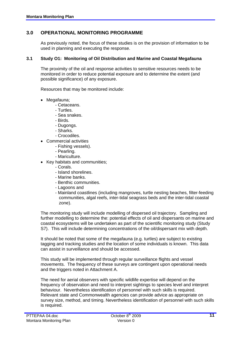# **3.0 OPERATIONAL MONITORING PROGRAMME**

 As previously noted, the focus of these studies is on the provision of information to be used in planning and executing the response.

#### **3.1 Study O1: Monitoring of Oil Distribution and Marine and Coastal Megafauna**

 The proximity of the oil and response activities to sensitive resources needs to be monitored in order to reduce potential exposure and to determine the extent (and possible significance) of any exposure.

Resources that may be monitored include:

- Megafauna;
	- Cetaceans.
	- Turtles.
	- Sea snakes.
	- Birds.
	- Dugongs.
	- Sharks.
	- Crocodiles.
	- Commercial activities
		- Fishing vessels).
		- Pearling.
		- Mariculture.
- Key habitats and communities;
	- Corals.
	- Island shorelines.
	- Marine banks.
	- Benthic communities.
	- Lagoons and
	- Mainland coastlines (including mangroves, turtle nesting beaches, filter-feeding communities, algal reefs, inter-tidal seagrass beds and the inter-tidal coastal zone).

 The monitoring study will include modelling of dispersed oil trajectory. Sampling and further modelling to determine the: potential effects of oil and dispersants on marine and coastal ecosystems will be undertaken as part of the scientific monitoring study (Study S7). This will include determining concentrations of the oil/dispersant mix with depth.

 It should be noted that some of the megafauna (e.g. turtles) are subject to existing tagging and tracking studies and the location of some individuals is known. This data can assist in surveillance and should be accessed.

 This study will be implemented through regular surveillance flights and vessel movements. The frequency of these surveys are contingent upon operational needs and the triggers noted in Attachment A.

 The need for aerial observers with specific wildlife expertise will depend on the frequency of observation and need to interpret sightings to species level and interpret behaviour. Nevertheless identification of personnel with such skills is required. Relevant state and Commonwealth agencies can provide advice as appropriate on survey size, method, and timing. Nevertheless identification of personnel with such skills is required.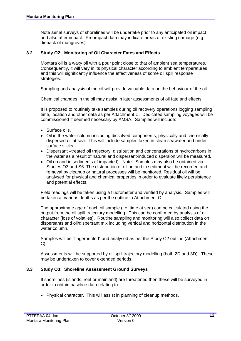Note aerial surveys of shorelines will be undertake prior to any anticipated oil impact and also after impact. Pre-impact data may indicate areas of existing damage (e.g. dieback of mangroves).

#### **3.2 Study O2: Monitoring of Oil Character Fates and Effects**

 Montara oil is a waxy oil with a pour point close to that of ambient sea temperatures. Consequently, it will vary in its physical character according to ambient temperatures and this will significantly influence the effectiveness of some oil spill response strategies.

Sampling and analysis of the oil will provide valuable data on the behaviour of the oil.

Chemical changes in the oil may assist in later assessments of oil fate and effects.

 It is proposed to routinely take samples during oil recovery operations logging sampling time, location and other data as per Attachment C. Dedicated sampling voyages will be commissioned if deemed necessary by AMSA. Samples will include:

- Surface oils.
- Oil in the water column including dissolved components, physically and chemically dispersed oil at sea. This will include samples taken in clean seawater and under surface slicks.
- Dispersant –treated oil trajectory, distribution and concentrations of hydrocarbons in the water as a result of natural and dispersant-induced dispersion will be measured.
- Oil on and in sediments (if impacted). Note: Samples may also be obtained via Studies O3 and S6. The distribution of oil on and in sediment will be recorded and removal by cleanup or natural processes will be monitored. Residual oil will be analysed for physical and chemical properties in order to evaluate likely persistence and potential effects.

 Field readings will be taken using a fluorometer and verified by analysis. Samples will be taken at various depths as per the outline in Attachment C.

 The approximate age of each oil sample (i.e. time at sea) can be calculated using the output from the oil spill trajectory modelling. This can be confirmed by analysis of oil character (loss of volatiles). Routine sampling and monitoring will also collect data on dispersants and oil/dispersant mix including vertical and horizontal distribution in the water column.

 Samples will be "fingerprinted" and analysed as per the Study O2 outline (Attachment C).

 Assessments will be supported by oil spill trajectory modelling (both 2D and 3D). These may be undertaken to cover extended periods.

#### **3.3 Study O3: Shoreline Assessment Ground Surveys**

 If shorelines (islands, reef or mainland) are threatened then these will be surveyed in order to obtain baseline data relating to:

• Physical character. This will assist in planning of cleanup methods.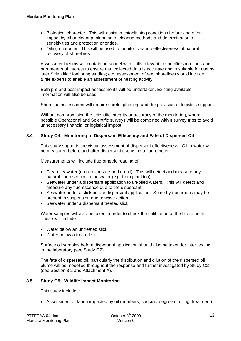- Biological character. This will assist in establishing conditions before and after impact by oil or cleanup, planning of cleanup methods and determination of sensitivities and protection priorities.
- Oiling character. This will be used to monitor cleanup effectiveness of natural recovery of shorelines.

 Assessment teams will contain personnel with skills relevant to specific shorelines and parameters of interest to ensure that collected data is accurate and is suitable for use by later Scientific Monitoring studies; e.g. assessment of reef shorelines would include turtle experts to enable an assessment of nesting activity.

 Both pre and post-impact assessments will be undertaken. Existing available information will also be used.

Shoreline assessment will require careful planning and the provision of logistics support.

 Without compromising the scientific integrity or accuracy of the monitoring, where possible Operational and Scientific surveys will be combined within survey trips to avoid unnecessary financial or logistical impost

#### **3.4 Study O4: Monitoring of Dispersant Efficiency and Fate of Dispersed Oil**

 This study supports the visual assessment of dispersant effectiveness. Oil in water will be measured before and after dispersant use using a fluorometer.

Measurements will include fluorometric reading of:

- Clean seawater (no oil exposure and no oil). This will detect and measure any natural fluorescence in the water (e.g. from plankton).
- Seawater under a dispersant application to un-oiled waters. This will detect and measure any fluorescence due to the dispersant.
- Seawater under a slick before dispersant application. Some hydrocarbons may be present in suspension due to wave action.
- Seawater under a dispersant treated slick.

 Water samples will also be taken in order to check the calibration of the fluorometer. These will include:

- Water below an untreated slick.
- Water below a treated slick.

 Surface oil samples before dispersant application should also be taken for later testing in the laboratory (see Study O2).

 The fate of dispersed oil, particularly the distribution and dilution of the dispersed oil plume will be modelled throughout the response and further investigated by Study O2 (see Section 3.2 and Attachment A).

#### **3.5 Study O5: Wildlife Impact Monitoring**

This study includes:

• Assessment of fauna impacted by oil (numbers, species, degree of oiling, treatment).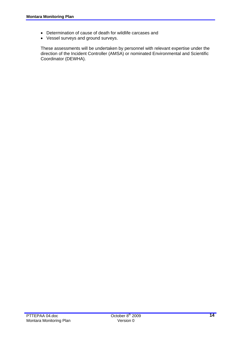- Determination of cause of death for wildlife carcases and
- Vessel surveys and ground surveys.

 These assessments will be undertaken by personnel with relevant expertise under the direction of the Incident Controller (AMSA) or nominated Environmental and Scientific Coordinator (DEWHA).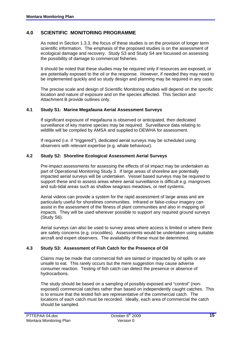# **4.0 SCIENTIFIC MONITORING PROGRAMME**

 As noted in Section 1.3.3, the focus of these studies is on the provision of longer term scientific information. The emphasis of the proposed studies is on the assessment of ecological damage and recovery. Study S3 and Study S4 are focussed on assessing the possibility of damage to commercial fisheries.

 It should be noted that these studies may be required only if resources are exposed, or are potentially exposed to the oil or the response. However, if needed they may need to be implemented quickly and so study design and planning may be required in any case.

 The precise scale and design of Scientific Monitoring studies will depend on the specific location and nature of exposure and on the species affected. This Section and Attachment B provide outlines only.

#### **4.1 Study S1: Marine Megafauna Aerial Assessment Surveys**

 If significant exposure of megafauna is observed or anticipated, then dedicated surveillance of key marine species may be required. Surveillance data relating to wildlife will be compiled by AMSA and supplied to DEWHA for assessment.

 If required (i.e. if "triggered"), dedicated aerial surveys may be scheduled using observers with relevant expertise (e.g. whale behaviour).

#### **4.2 Study S2: Shoreline Ecological Assessment Aerial Surveys**

 Pre-impact assessments for assessing the effects of oil impact may be undertaken as part of Operational Monitoring Study 3. If large areas of shoreline are potentially impacted aerial surveys will be undertaken. Vessel based surveys may be required to support these and to assess areas where aerial surveillance is difficult e.g. mangroves and sub-tidal areas such as shallow seagrass meadows, or reef systems.

 Aerial videos can provide a system for the rapid assessment of large areas and are particularly useful for shorelines communities. Infrared or false-colour imagery can assist in the assessment of the fitness of plant communities and also in mapping oil impacts. They will be used wherever possible to support any required ground surveys (Study S6).

 Aerial surveys can also be used to survey areas where access is limited or where there are safety concerns (e.g. crocodiles). Assessments would be undertaken using suitable aircraft and expert observers. The availability of these must be determined.

#### **4.3 Study S3: Assessment of Fish Catch for the Presence of Oil**

 Claims may be made that commercial fish are tainted or impacted by oil spills or are unsafe to eat. This rarely occurs but the mere suggestion may cause adverse consumer reaction. Testing of fish catch can detect the presence or absence of hydrocarbons.

 The study should be based on a sampling of possibly exposed and "control" (nonexposed) commercial catches rather than based on independently caught catches. This is to ensure that the tested fish are representative of the commercial catch. The locations of each catch must be recorded. Ideally, each area of commercial the catch should be sampled.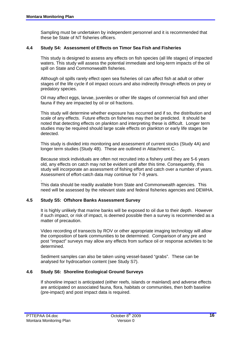Sampling must be undertaken by independent personnel and it is recommended that these be State of NT fisheries officers.

#### **4.4 Study S4: Assessment of Effects on Timor Sea Fish and Fisheries**

 This study is designed to assess any effects on fish species (all life stages) of impacted waters. This study will assess the potential immediate and long-term impacts of the oil spill on State and Commonwealth fisheries.

 Although oil spills rarely effect open sea fisheries oil can affect fish at adult or other stages of the life cycle if oil impact occurs and also indirectly through effects on prey or predatory species.

Oil may affect eggs, larvae, juveniles or other life stages of commercial fish and other fauna if they are impacted by oil or oil fractions.

This study will determine whether exposure has occurred and if so, the distribution and scale of any effects. Future effects on fisheries may then be predicted. It should be noted that detecting effects on plankton and interpreting these is difficult. Longer term studies may be required should large scale effects on plankton or early life stages be detected.

This study is divided into monitoring and assessment of current stocks (Study 4A) and longer term studies (Study 4B). These are outlined in Attachment C.

 Because stock individuals are often not recruited into a fishery until they are 5-6 years old, any effects on catch may not be evident until after this time. Consequently, this study will incorporate an assessment of fishing effort and catch over a number of years. Assessment of effort-catch data may continue for 7-8 years.

 This data should be readily available from State and Commonwealth agencies. This need will be assessed by the relevant state and federal fisheries agencies and DEWHA.

#### **4.5 Study S5: Offshore Banks Assessment Survey**

 It is highly unlikely that marine banks will be exposed to oil due to their depth. However if such impact, or risk of impact, is deemed possible then a survey is recommended as a matter of precaution.

 Video recording of transects by ROV or other appropriate imaging technology will allow the composition of bank communities to be determined. Comparison of any pre and post "impact" surveys may allow any effects from surface oil or response activities to be determined.

 Sediment samples can also be taken using vessel-based "grabs". These can be analysed for hydrocarbon content (see Study S7).

#### **4.6 Study S6: Shoreline Ecological Ground Surveys**

 If shoreline impact is anticipated (either reefs, islands or mainland) and adverse effects are anticipated on associated fauna, flora, habitats or communities, then both baseline (pre-impact) and post impact data is required.

.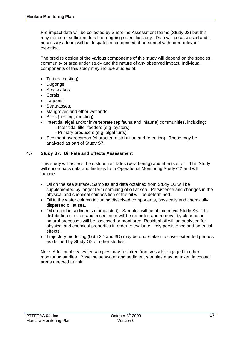Pre-impact data will be collected by Shoreline Assessment teams (Study 03) but this may not be of sufficient detail for ongoing scientific study. Data will be assessed and if necessary a team will be despatched comprised of personnel with more relevant expertise.

 The precise design of the various components of this study will depend on the species, community or area under study and the nature of any observed impact. Individual components of this study may include studies of:

- Turtles (nesting).
- Dugongs.
- Sea snakes.
- Corals.
- Lagoons.
- Seagrasses.
- Mangroves and other wetlands.
- Birds (nesting, roosting).
- Intertidal algal and/or invertebrate (epifauna and infauna) communities, including;
	- Inter-tidal filter feeders (e.g. oysters).
	- Primary producers (e.g. algal turfs).
- Sediment hydrocarbon (character, distribution and retention). These may be analysed as part of Study S7.

#### **4.7 Study S7: Oil Fate and Effects Assessment**

 This study will assess the distribution, fates (weathering) and effects of oil. This Study will encompass data and findings from Operational Monitoring Study O2 and will include:

- Oil on the sea surface. Samples and data obtained from Study O2 will be supplemented by longer term sampling of oil at sea. Persistence and changes in the physical and chemical composition of the oil will be determined.
- Oil in the water column including dissolved components, physically and chemically dispersed oil at sea.
- Oil on and in sediments (if impacted). Samples will be obtained via Study S6. The distribution of oil on and in sediment will be recorded and removal by cleanup or natural processes will be assessed or monitored. Residual oil will be analysed for physical and chemical properties in order to evaluate likely persistence and potential effects.
- Trajectory modelling (both 2D and 3D) may be undertaken to cover extended periods as defined by Study O2 or other studies.

 Note: Additional sea water samples may be taken from vessels engaged in other monitoring studies. Baseline seawater and sediment samples may be taken in coastal areas deemed at risk.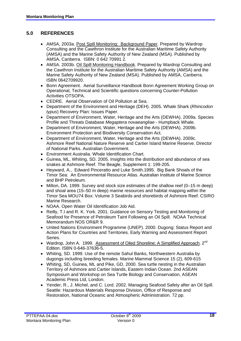# **5.0 REFERENCES**

- AMSA, 2003a. Post Spill Monitoring: Background Paper. Prepared by Wardrop Consulting and the Cawthron Institute for the Australian Maritime Safety Authority (AMSA) and the Marine Safety Authority of New Zealand (MSA). Published by AMSA, Canberra. ISBN: 0 642 70991 2.
- AMSA. 2003b. Oil Spill Monitoring Handbook. Prepared by Wardrop Consulting and the Cawthron Institute for the Australian Maritime Safety Authority (AMSA) and the Marine Safety Authority of New Zealand (MSA). Published by AMSA, Canberra. ISBN 0642709920.
- Bonn Agreement. Aerial Surveillance Handbook Bonn Agreement Working Group on Operational, Technical and Scientific questions concerning Counter-Pollution Activities OTSOPA.
- CEDRE. Aerial Observation of Oil Pollution at Sea.
- Department of the Environment and Heritage (DEH). 2005. Whale Shark (*Rhincodon typus*) Recovery Plan: Issues Paper.
- Department of Environment, Water, Heritage and the Arts (DEWHA). 2009a. Species Profile and Threats Database *Megaptera novaeangliae* - Humpback Whale.
- Department of Environment, Water, Heritage and the Arts (DEWHA). 2009b. Environment Protection and Biodiversity Conservation Act.
- Department of Environment, Water, Heritage and the Arts (DEWHA). 2009c. Ashmore Reef National Nature Reserve and Cartier Island Marine Reserve. Director of National Parks. Australian Government.
- Environment Australia. Whale Identification Chart.
- Guinea, ML, Whiting, SD. 2005. Insights into the distribution and abundance of sea snakes at Ashmore Reef. The Beagle, Supplement 1: 199-205.
- Heyward, A., Edward Pinceratto and Luke Smith.1995.Big Bank Shoals of the Timor Sea: An Environmental Resource Atlas. Australian Institute of Marine Science and BHP Petroleum.
- Milton, DA, 1999. Survey and stock size estimates of the shallow reef (0–15 m deep) and shoal area (15–50 m deep) marine resources and habitat mapping within the Timor Sea MOU74 Box: Volume 3 Seabirds and shorebirds of Ashmore Reef. CSIRO Marine Research.
- NOAA. Open Water Oil Identification Job Aid.
- Reilly, T.I and R. K. York. 2001. Guidance on Sensory Testing and Monitoring of Seafood for Presence of Petroleum Taint Following an Oil Spill. NOAA Technical Memorandum NOS OR&R 9.
- United Nations Environment Programme (UNEP). 2000. Dugong: Status Report and Action Plans for Countries and Territories. Early Warning and Assessment Report Series.
- Wardrop, John A. 1999. Assessment of Oiled Shoreline: A Simplified Approach. 2<sup>nd</sup> Edition. ISBN 0-646-37636-5.
- Whiting, SD. 1999. Use of the remote Sahul Banks, Northwestern Australia by dugongs including breeding females. Marine Mammal Science 15 (2), 609-615
- Whiting, SD, Guinea, ML and Pike, GD. 2000. Sea turtle nesting in the Australian Territory of Ashmore and Cartier Islands, Eastern Indian Ocean. 2nd ASEAN Symposium and Workshop on Sea Turtle Biology and Conservation, ASEAN Academic Press Ltd, London.
- Yender, R., J. Michel, and C. Lord. 2002. Managing Seafood Safety after an Oil Spill. Seattle: Hazardous Materials Response Division, Office of Response and Restoration, National Oceanic and Atmospheric Administration. 72 pp.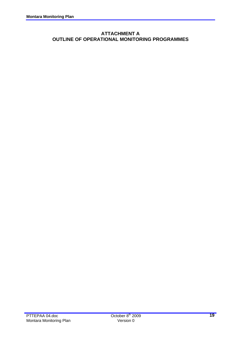# **ATTACHMENT A OUTLINE OF OPERATIONAL MONITORING PROGRAMMES**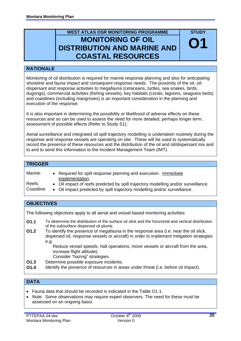# **WEST ATLAS OSR MONITORING PROGRAMME MONITORING OF OIL DISTRIBUTION AND MARINE AND COASTAL RESOURCES**

# **RATIONALE**

Monitoring of oil distribution is required for marine response planning and also for anticipating shoreline and fauna impact and consequent response needs. The proximity of the oil, oildispersant and response activities to megafauna (cetaceans, turtles, sea snakes, birds, dugongs), commercial activities (fishing vessels), key habitats (corals, lagoons, seagrass beds) and coastlines (including mangroves) is an important consideration in the planning and execution of the response.

It is also important in determining the possibility or likelihood of adverse effects on these resources and so can be used to assess the need for more detailed, perhaps longer term, assessment of possible effects (Refer to Study S1).

Aerial surveillance and integrated oil spill trajectory modelling is undertaken routinely during the response and response vessels are operating on site. These will be used to systematically record the presence of these resources and the distribution of the oil and oil/dispersant mix and to and to send this information to the Incident Management Team (IMT).

#### **TRIGGER**

| Marine:    | • Required for spill response planning and execution. Immediate<br>implementation. |
|------------|------------------------------------------------------------------------------------|
| Reefs:     | • Oil impact of reefs predicted by spill trajectory modelling and/or surveillance. |
| Coastline: | • Oil impact predicted by spill trajectory modelling and/or surveillance.          |

# **OBJECTIVES**

The following objectives apply to all aerial and vessel based monitoring activities:

- **O1.1** To determine the distribution of the surface oil slick and the horizontal and vertical distribution of the subsurface dispersed oil plume.
- To identify the presence of megafauna in the response area (i.e. near the oil slick, dispersed oil, response vessels or aircraft) in order to implement mitigation strategies e.g: **O1.2**

Reduce vessel speeds, halt operations, move vessels or aircraft from the area, increase flight altitude).

- Consider "hazing" strategies.
- **O1.3** Determine possible exposure incidents.
- **O1.4** Identify the presence of resources in areas under threat (i.e. before oil impact).

# **DATA**

- Fauna data that should be recorded is indicated in the Table O1.1.
- Note: Some observations may require expert observers. The need for these must be assessed on an ongoing basis.

**STUDY** 

**O1**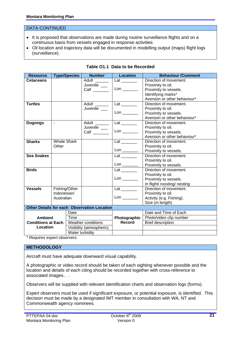#### DATA CONTINUED

- It is proposed that observations are made during routine surveillance flights and on a continuous basis from vessels engaged in response activities.
- Oil location and trajectory data will be documented in modelling output (maps) flight logs (surveillance).

| <b>Resource</b>           |                    | <b>Type/Species</b> | <b>Number</b>                                      | <b>Location</b>                | <b>Behaviour /Comment</b>    |
|---------------------------|--------------------|---------------------|----------------------------------------------------|--------------------------------|------------------------------|
| <b>Cetaceans</b>          |                    |                     | Adult ______                                       | Lat _______                    | Direction of movement.       |
|                           |                    |                     | Juvenile __                                        |                                | Proximity to oil.            |
|                           |                    |                     |                                                    |                                | Proximity to vessels.        |
|                           |                    |                     |                                                    |                                | Identifying marks*           |
|                           |                    |                     |                                                    |                                | Aversion or other behaviour* |
| <b>Turtles</b>            |                    |                     | Adult                                              | Lat ________                   | Direction of movement.       |
|                           |                    |                     | Juvenile                                           |                                | Proximity to oil.            |
|                           |                    |                     |                                                    | $\mathsf{Lon} \_\_\_\_\_\_\$   | Proximity to vessels.        |
|                           |                    |                     |                                                    |                                | Aversion or other behaviour* |
| <b>Dugongs</b>            | $\mathbf{r}$       |                     | Adult ______                                       | Lat ________                   | Direction of movement.       |
|                           |                    |                     | Juvenile __                                        |                                | Proximity to oil.            |
|                           |                    |                     | Calf                                               |                                | Proximity to vessels.        |
|                           |                    |                     |                                                    |                                | Aversion or other behaviour* |
| <b>Sharks</b>             | <b>Whale Shark</b> |                     |                                                    | Lat ________                   | Direction of movement.       |
|                           | Other              |                     |                                                    |                                | Proximity to oil.            |
|                           |                    |                     |                                                    | $\mathsf{Lon} \_\_\_\_\_\_\_\$ | Proximity to vessels.        |
| <b>Sea Snakes</b>         |                    |                     |                                                    | Lat _________                  | Direction of movement.       |
|                           |                    |                     |                                                    |                                | Proximity to oil.            |
|                           |                    |                     |                                                    | $\mathsf{Lon} \_\_\_\_\_\_\$   | Proximity to vessels.        |
| <b>Birds</b>              |                    |                     |                                                    |                                | Direction of movement.       |
|                           |                    |                     |                                                    |                                | Proximity to oil.            |
|                           |                    |                     |                                                    | $\mathsf{Lon} \_\_\_\_\_\_\$   | Proximity to vessels.        |
|                           |                    |                     |                                                    |                                | In flight/ roosting/ nesting |
| <b>Vessels</b>            |                    | Fishing/Other       |                                                    | $Lat$ <sub>_________</sub>     | Direction of movement.       |
|                           | Indonesian/        |                     |                                                    |                                | Proximity to oil.            |
|                           | Australian         |                     |                                                    |                                | Activity (e.g. Fishing).     |
|                           |                    |                     |                                                    |                                | Size (m length)              |
|                           |                    |                     | <b>Other Details for each Observation Location</b> |                                |                              |
|                           |                    | Date                |                                                    |                                | Date and Time of Each        |
| <b>Ambient</b>            |                    | Time                |                                                    | Photographic                   | Photo/video clip number      |
| <b>Conditions at Each</b> |                    |                     | Weather conditions                                 | Record                         | <b>Brief description</b>     |
| Location                  |                    |                     | Visibility (atmospheric)                           |                                |                              |
|                           |                    | Water turbidity     |                                                    |                                |                              |

#### **Table O1.1 Data to be Recorded**

*\* Requires expert observers.* 

#### **METHODOLOGY**

Aircraft must have adequate downward visual capability.

A photographic or video record should be taken of each sighting whenever possible and the location and details of each citing should be recorded together with cross-reference to associated images.. .

Observers will be supplied with relevant identification charts and observation logs (forms).

Expert observers must be used if significant exposure, or potential exposure, is identified. This decision must be made by a designated IMT member in consultation with WA, NT and Commonwealth agency nominees.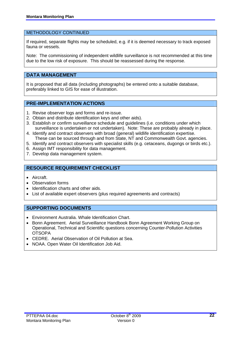#### METHODOLOGY CONTINUED

If required, separate flights may be scheduled, e.g. if it is deemed necessary to track exposed fauna or vessels.

Note: The commissioning of independent wildlife surveillance is not recommended at this time due to the low risk of exposure. This should be reassessed during the response.

# **DATA MANAGEMENT**

It is proposed that all data (including photographs) be entered onto a suitable database, preferably linked to GIS for ease of illustration.

#### **PRE-IMPLEMENTATION ACTIONS**

- 1. Revise observer logs and forms and re-issue.
- 2. Obtain and distribute identification keys and other aids).
- 3. Establish or confirm surveillance schedule and guidelines (i.e. conditions under which surveillance is undertaken or not undertaken). Note: These are probably already in place.
- 4. Identify and contract observers with broad (general) wildlife identification expertise. These can be sourced through and from State, NT and Commonwealth Govt. agencies.
- 5. Identify and contract observers with specialist skills (e.g. cetaceans, dugongs or birds etc.).
- 6. Assign IMT responsibility for data management.
- 7. Develop data management system.

# **RESOURCE REQUIREMENT CHECKLIST**

- Aircraft.
- Observation forms
- Identification charts and other aids.
- List of available expert observers (plus required agreements and contracts)

# **SUPPORTING DOCUMENTS**

- Environment Australia. Whale Identification Chart.
- Bonn Agreement. Aerial Surveillance Handbook Bonn Agreement Working Group on Operational, Technical and Scientific questions concerning Counter-Pollution Activities **OTSOPA**
- CEDRE. Aerial Observation of Oil Pollution at Sea.
- NOAA. Open Water Oil Identification Job Aid.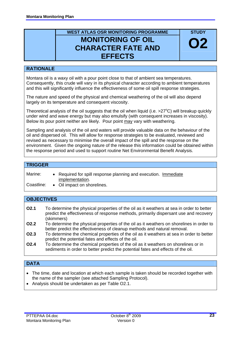# **WEST ATLAS OSR MONITORING PROGRAMME MONITORING OF OIL CHARACTER FATE AND EFFECTS**

**STUDY** 

# **O2**

# **RATIONALE**

Montara oil is a waxy oil with a pour point close to that of ambient sea temperatures. Consequently, this crude will vary in its physical character according to ambient temperatures and this will significantly influence the effectiveness of some oil spill response strategies.

The nature and speed of the physical and chemical weathering of the oil will also depend largely on its temperature and consequent viscosity.

Theoretical analysis of the oil suggests that the oil when liquid (i.e.  $>27^{\circ}$ C) will breakup quickly under wind and wave energy but may also emulsify (with consequent increases in viscosity). Below its pour point neither are likely. Pour point may vary with weathering.

Sampling and analysis of the oil and waters will provide valuable data on the behaviour of the oil and dispersed oil. This will allow for response strategies to be evaluated, reviewed and revised as necessary to minimise the overall impact of the spill and the response on the environment. Given the ongoing nature of the release this information could be obtained within the response period and used to support routine Net Environmental Benefit Analysis.

#### **TRIGGER**

| Marine: | • Required for spill response planning and execution. Immediate |  |
|---------|-----------------------------------------------------------------|--|
|         | implementation.                                                 |  |
|         |                                                                 |  |

Coastline: • Oil impact on shorelines.

# **OBJECTIVES**

| O <sub>2.1</sub> | To determine the physical properties of the oil as it weathers at sea in order to better |
|------------------|------------------------------------------------------------------------------------------|
|                  | predict the effectiveness of response methods, primarily dispersant use and recovery     |
|                  | (skimmers)                                                                               |

**O2.2** To determine the physical properties of the oil as it weathers on shorelines in order to better predict the effectiveness of cleanup methods and natural removal.

- **O2.3** To determine the chemical properties of the oil as it weathers at sea in order to better predict the potential fates and effects of the oil.
- **O2.4** To determine the chemical properties of the oil as it weathers on shorelines or in sediments in order to better predict the potential fates and effects of the oil.

# **DATA**

- The time, date and location at which each sample is taken should be recorded together with the name of the sampler (see attached Sampling Protocol).
- Analysis should be undertaken as per Table O2.1.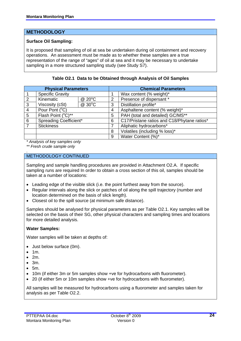# **METHODOLOGY**

#### **Surface Oil Sampling:**

It is proposed that sampling of oil at sea be undertaken during oil containment and recovery operations. An assessment must be made as to whether these samples are a true representation of the range of "ages" of oil at sea and it may be necessary to undertake sampling in a more structured sampling study (see Study S7).

|  |  | Table O2.1 Data to be Obtained through Analysis of Oil Samples |  |  |
|--|--|----------------------------------------------------------------|--|--|
|--|--|----------------------------------------------------------------|--|--|

| <b>Physical Parameters</b> |                         |        |   | <b>Chemical Parameters</b>                  |  |  |
|----------------------------|-------------------------|--------|---|---------------------------------------------|--|--|
|                            | <b>Specific Gravity</b> |        |   | Wax content (% weight)*                     |  |  |
| 2                          | Kinematic               | @ 20°C | 2 | Presence of dispersant *                    |  |  |
| 3                          | Viscosity (cSt)         | @ 30°C | 3 | Distillation profile*                       |  |  |
| 4                          | Pour Pont (°C)          |        |   | Asphaltene content (% weight)*              |  |  |
| 5                          | Flash Point (°C)**      |        |   | PAH (total and detailed) GC/MS**            |  |  |
| 6                          | Spreading Coefficient*  |        | 6 | C17/Pristane ratios and C18/Phytane ratios* |  |  |
|                            | <b>Stickiness</b>       |        |   | Aliphatic hydrocarbons*                     |  |  |
|                            |                         |        |   | Volatiles (including % loss)*               |  |  |
|                            |                         |        | 9 | Water Content (%)*                          |  |  |

*\* Analysis of key samples only* 

*\*\* Fresh crude sample only* 

.

#### METHODOLOGY CONTINUED

Sampling and sample handling procedures are provided in Attachment O2.A. If specific sampling runs are required In order to obtain a cross section of this oil, samples should be taken at a number of locations:

- Leading edge of the visible slick (i.e. the point furthest away from the source).
- Regular intervals along the slick or patches of oil along the spill trajectory (number and location determined on the basis of slick length).
- Closest oil to the spill source (at minimum safe distance).

Samples should be analysed for physical parameters as per Table O2.1. Key samples will be selected on the basis of their SG, other physical characters and sampling times and locations for more detailed analysis.

#### **Water Samples:**

Water samples will be taken at depths of:

- Just below surface (0m).
- 1m.
- 2m.
- $\bullet$  3m.
- 5m.
- 10m (if either 3m or 5m samples show +ve for hydrocarbons with fluorometer).
- 20 (if either 5m or 10m samples show +ve for hydrocarbons with fluorometer).

All samples will be measured for hydrocarbons using a fluorometer and samples taken for analysis as per Table O2.2.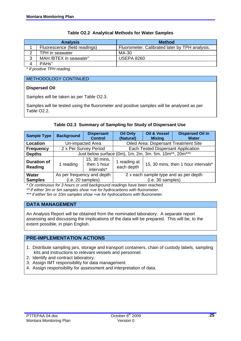|        | <b>Analysis</b>               | <b>Method</b>                                  |
|--------|-------------------------------|------------------------------------------------|
|        | Fluorescence (field readings) | Fluorometer. Calibrated later by TPH analysis. |
| ◠      | TPH in seawater               | MA-30                                          |
| ◠<br>د | MAH /BTEX in seawater"        | <b>USEPA 8260</b>                              |
|        | PAH <sub>s</sub> "            |                                                |

#### **Table O2.2 Analytical Methods for Water Samples**

*\* If positive TPH reading* 

#### METHODOLOGY CONTINUED

#### **Dispersed Oil**:

Samples will be taken as per Table O2.3.

Samples will be tested using the fluorometer and positive samples will be analysed as per Table O2.2.

#### **Table O2.3 Summary of Sampling for Study of Dispersant Use**

| <b>Sample Type</b>            | <b>Background</b>     | <b>Dispersant</b><br><b>Control</b>       | Oil Only<br>(Natural)      | <b>Oil &amp; Vessel</b><br><b>Mixing</b>                                        | <b>Dispersed Oil in</b><br><b>Water</b>      |  |
|-------------------------------|-----------------------|-------------------------------------------|----------------------------|---------------------------------------------------------------------------------|----------------------------------------------|--|
| Location                      |                       | Un-impacted Area                          |                            |                                                                                 | <b>Oiled Area: Dispersant Treatment Site</b> |  |
| <b>Frequency</b>              | 2 x Per Survey Period |                                           |                            | Each Tested Dispersant Application                                              |                                              |  |
| <b>Depths</b>                 |                       |                                           |                            | Just below surface (0m), 1m, 2m, 3m. 5m. 10m <sup>**</sup> , 20m <sup>***</sup> |                                              |  |
| <b>Duration of</b><br>Reading | 1 reading             | 15, 30 mins,<br>then 1 hour<br>intervals* | 1 reading at<br>each depth |                                                                                 | 15, 30 mins, then 1 hour intervals*          |  |
| <b>Water</b>                  |                       | As per frequency and depth                |                            | 2 x each sample type and as per depth                                           |                                              |  |
| <b>Samples</b>                |                       | (i.e. 20 samples)                         |                            | (i.e. 30 samples)                                                               |                                              |  |

*\* Or continuous for 3 hours or until background readings have been reached.* 

*\*\* if either 3m or 5m samples show +ve for hydrocarbons with fluorometer.* 

*\*\*\* if either 5m or 10m samples show +ve for hydrocarbons with fluorometer.* 

# **DATA MANAGEMENT**

An Analysis Report will be obtained from the nominated laboratory. A separate report assessing and discussing the implications of the data will be prepared. This will be, to the extent possible, in plain English.

# **PRE-IMPLEMENTATION ACTIONS**

- 1. Distribute sampling jars, storage and transport containers, chain of custody labels, sampling kits and instructions to relevant vessels and personnel.
- 2. Identify and contract laboratory.
- 3. Assign IMT responsibility for data management.
- 4. Assign responsibility for assessment and interpretation of data.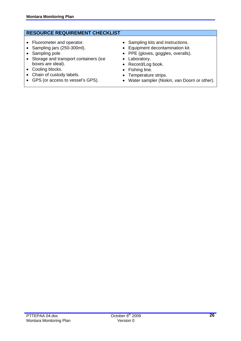# **RESOURCE REQUIREMENT CHECKLIST**

- Fluorometer and operator.
- Sampling jars (250-300ml).
- Sampling pole
- Storage and transport containers (ice boxes are ideal).
- Cooling blocks.
- Chain of custody labels.
- GPS (or access to vessel's GPS).
- Sampling kits and instructions.
- Equipment decontamination kit.
- PPE (gloves, goggles, overalls).
- Laboratory.
- Record/Log book.
- Fishing line.
- Temperature strips.
- Water sampler (Niskin, van Doorn or other).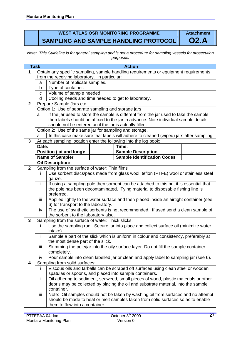# **WEST ATLAS OSR MONITORING PROGRAMME SAMPLING AND SAMPLE HANDLING PROTOCOL**

**Attachment O2.A** 

*Note: This Guideline is for general sampling and is not a procedure for sampling vessels for prosecution purposes.* 

|                         | <b>Task</b>  |                                                                                          |  | <b>Action</b>                                                                          |  |  |  |  |
|-------------------------|--------------|------------------------------------------------------------------------------------------|--|----------------------------------------------------------------------------------------|--|--|--|--|
| $\mathbf{1}$            |              |                                                                                          |  | Obtain any specific sampling, sample handling requirements or equipment requirements   |  |  |  |  |
|                         |              | from the receiving laboratory. In particular:                                            |  |                                                                                        |  |  |  |  |
|                         | a            | Number of replicate samples.                                                             |  |                                                                                        |  |  |  |  |
|                         | $\mathsf b$  | Type of container.                                                                       |  |                                                                                        |  |  |  |  |
|                         | $\mathbf{C}$ | Volume of sample needed.                                                                 |  |                                                                                        |  |  |  |  |
|                         | d            | Cooling needs and time needed to get to laboratory.                                      |  |                                                                                        |  |  |  |  |
| $\mathbf{2}$            |              | Prepare Sample Jars etc.                                                                 |  |                                                                                        |  |  |  |  |
|                         |              | Option 1: Use of separate sampling and storage jars                                      |  |                                                                                        |  |  |  |  |
|                         | a            |                                                                                          |  | If the jar used to store the sample is different from the jar used to take the sample  |  |  |  |  |
|                         |              |                                                                                          |  | then labels should be affixed to the jar in advance. Note individual sample details    |  |  |  |  |
|                         |              | should not be entered until the jar is actually filled.                                  |  |                                                                                        |  |  |  |  |
|                         |              | Option 2: Use of the same jar for sampling and storage.                                  |  |                                                                                        |  |  |  |  |
|                         | a            |                                                                                          |  | In this case make sure that labels will adhere to cleaned (wiped) jars after sampling. |  |  |  |  |
| $\overline{\mathbf{3}}$ |              |                                                                                          |  | At each sampling location enter the following into the log book:                       |  |  |  |  |
|                         | Date:        |                                                                                          |  | Time:                                                                                  |  |  |  |  |
|                         |              | <b>Position (lat and long):</b>                                                          |  | <b>Sample Description</b>                                                              |  |  |  |  |
|                         |              | <b>Name of Sampler</b>                                                                   |  | <b>Sample Identification Codes</b>                                                     |  |  |  |  |
|                         |              | <b>Oil Description:</b>                                                                  |  |                                                                                        |  |  |  |  |
| $\mathbf{2}$            |              | Sampling from the surface of water: Thin films                                           |  |                                                                                        |  |  |  |  |
|                         |              |                                                                                          |  | Use sorbent discs/pads made from glass wool, teflon (PTFE) wool or stainless steel     |  |  |  |  |
|                         |              | gauze.                                                                                   |  |                                                                                        |  |  |  |  |
|                         | ii.          |                                                                                          |  | If using a sampling pole then sorbent can be attached to this but it is essential that |  |  |  |  |
|                         |              |                                                                                          |  | the pole has been decontaminated. Tying material to disposable fishing line is         |  |  |  |  |
|                         |              | preferred.                                                                               |  |                                                                                        |  |  |  |  |
|                         | iii          |                                                                                          |  | Applied lightly to the water surface and then placed inside an airtight container (see |  |  |  |  |
|                         | iv           | 6) for transport to the laboratory.                                                      |  |                                                                                        |  |  |  |  |
|                         |              | The use of synthetic sorbents is not recommended. If used send a clean sample of         |  |                                                                                        |  |  |  |  |
| 3                       |              | the sorbent to the laboratory also.<br>Sampling from the surface of water: Thick slicks: |  |                                                                                        |  |  |  |  |
|                         | j.           |                                                                                          |  | Use the sampling rod. Secure jar into place and collect surface oil (minimize water    |  |  |  |  |
|                         |              | intake).                                                                                 |  |                                                                                        |  |  |  |  |
|                         | ii.          |                                                                                          |  | Sample a part of the slick which is uniform in colour and consistency, preferably at   |  |  |  |  |
|                         |              | the most dense part of the slick.                                                        |  |                                                                                        |  |  |  |  |
|                         | iii          |                                                                                          |  | Skimming the pole/jar into the oily surface layer. Do not fill the sample container    |  |  |  |  |
|                         |              | completely.                                                                              |  |                                                                                        |  |  |  |  |
|                         | iv           |                                                                                          |  | Pour sample into clean labelled jar or clean and apply label to sampling jar (see 6).  |  |  |  |  |
| $\overline{\mathbf{4}}$ |              | Sampling from solid surfaces:                                                            |  |                                                                                        |  |  |  |  |
|                         |              | Viscous oils and tarballs can be scraped off surfaces using clean steel or wooden        |  |                                                                                        |  |  |  |  |
|                         |              | spatulas or spoons, and placed into sample containers.                                   |  |                                                                                        |  |  |  |  |
|                         | ii.          |                                                                                          |  | Oil adhering to sediment, seaweed, small pieces of wood, plastic materials or other    |  |  |  |  |
|                         |              |                                                                                          |  | debris may be collected by placing the oil and substrate material, into the sample     |  |  |  |  |
|                         |              | container.                                                                               |  |                                                                                        |  |  |  |  |
|                         | iii          |                                                                                          |  | Note: Oil samples should not be taken by washing oil from surfaces and no attempt      |  |  |  |  |
|                         |              |                                                                                          |  | should be made to heat or melt samples taken from solid surfaces so as to enable       |  |  |  |  |
|                         |              | them to flow into a container.                                                           |  |                                                                                        |  |  |  |  |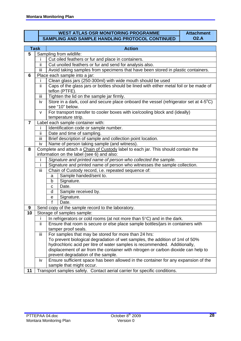# **WEST ATLAS OSR MONITORING PROGRAMME SAMPLING AND SAMPLE HANDLING PROTOCOL CONTINUED**

**Attachment O2.A**

|                | <b>Task</b>               | <b>Action</b>                                                                                                                                                                                                                                                                                                                                                                                                                                                                                                                                                                                                                                                                                                                                                                                                                                                                                                                                                                                                                                                                                                           |  |  |  |  |  |  |  |
|----------------|---------------------------|-------------------------------------------------------------------------------------------------------------------------------------------------------------------------------------------------------------------------------------------------------------------------------------------------------------------------------------------------------------------------------------------------------------------------------------------------------------------------------------------------------------------------------------------------------------------------------------------------------------------------------------------------------------------------------------------------------------------------------------------------------------------------------------------------------------------------------------------------------------------------------------------------------------------------------------------------------------------------------------------------------------------------------------------------------------------------------------------------------------------------|--|--|--|--|--|--|--|
| 5              |                           | Sampling from wildlife:                                                                                                                                                                                                                                                                                                                                                                                                                                                                                                                                                                                                                                                                                                                                                                                                                                                                                                                                                                                                                                                                                                 |  |  |  |  |  |  |  |
|                | i                         | Cut oiled feathers or fur and place in containers.                                                                                                                                                                                                                                                                                                                                                                                                                                                                                                                                                                                                                                                                                                                                                                                                                                                                                                                                                                                                                                                                      |  |  |  |  |  |  |  |
|                | ΪÏ                        | Sample handed/sent to.<br>Signature.<br>Date.<br>Sample received by.<br>Signature.<br>Date.                                                                                                                                                                                                                                                                                                                                                                                                                                                                                                                                                                                                                                                                                                                                                                                                                                                                                                                                                                                                                             |  |  |  |  |  |  |  |
|                | iii                       |                                                                                                                                                                                                                                                                                                                                                                                                                                                                                                                                                                                                                                                                                                                                                                                                                                                                                                                                                                                                                                                                                                                         |  |  |  |  |  |  |  |
| 6              |                           | Cut unoiled feathers or fur and send for analysis also.<br>Avoid taking samples from specimens that have been stored in plastic containers.<br>Place each sample into a jar:<br>Clean glass jars (250-300ml) with wide mouth should be used<br>teflon (PTFE).<br>Tighten the lid on the sample jar firmly.<br>Store in a dark, cool and secure place onboard the vessel (refrigerator set at 4-5°C)<br>For transport transfer to cooler boxes with ice/cooling block and (ideally)<br>Identification code or sample number.<br>Brief description of sample and collection point location.<br>Name of person taking sample (and witness).<br>Complete and attach a Chain of Custody label to each jar. This should contain the<br>information on the label (see 6) and also:<br>Signature and printed name of person who collected the sample.<br>Signature and printed name of person who witnesses the sample collection.<br>Chain of Custody record, i.e. repeated sequence of:<br>a<br>b<br>C<br>d<br>$\mathbf e$<br>$\mathbf{f}$<br>Send copy of the sample record to the laboratory.<br>Storage of samples sample: |  |  |  |  |  |  |  |
|                |                           |                                                                                                                                                                                                                                                                                                                                                                                                                                                                                                                                                                                                                                                                                                                                                                                                                                                                                                                                                                                                                                                                                                                         |  |  |  |  |  |  |  |
|                | Ϊİ                        | Caps of the glass jars or bottles should be lined with either metal foil or be made of                                                                                                                                                                                                                                                                                                                                                                                                                                                                                                                                                                                                                                                                                                                                                                                                                                                                                                                                                                                                                                  |  |  |  |  |  |  |  |
|                | $\overline{\mathsf{iii}}$ |                                                                                                                                                                                                                                                                                                                                                                                                                                                                                                                                                                                                                                                                                                                                                                                                                                                                                                                                                                                                                                                                                                                         |  |  |  |  |  |  |  |
|                | iv                        |                                                                                                                                                                                                                                                                                                                                                                                                                                                                                                                                                                                                                                                                                                                                                                                                                                                                                                                                                                                                                                                                                                                         |  |  |  |  |  |  |  |
|                |                           | see "10" below.                                                                                                                                                                                                                                                                                                                                                                                                                                                                                                                                                                                                                                                                                                                                                                                                                                                                                                                                                                                                                                                                                                         |  |  |  |  |  |  |  |
|                | v                         |                                                                                                                                                                                                                                                                                                                                                                                                                                                                                                                                                                                                                                                                                                                                                                                                                                                                                                                                                                                                                                                                                                                         |  |  |  |  |  |  |  |
|                |                           | temperature strip.                                                                                                                                                                                                                                                                                                                                                                                                                                                                                                                                                                                                                                                                                                                                                                                                                                                                                                                                                                                                                                                                                                      |  |  |  |  |  |  |  |
| $\overline{7}$ |                           | Label each sample container with:                                                                                                                                                                                                                                                                                                                                                                                                                                                                                                                                                                                                                                                                                                                                                                                                                                                                                                                                                                                                                                                                                       |  |  |  |  |  |  |  |
|                | Ť                         |                                                                                                                                                                                                                                                                                                                                                                                                                                                                                                                                                                                                                                                                                                                                                                                                                                                                                                                                                                                                                                                                                                                         |  |  |  |  |  |  |  |
|                | ii.                       | Date and time of sampling.                                                                                                                                                                                                                                                                                                                                                                                                                                                                                                                                                                                                                                                                                                                                                                                                                                                                                                                                                                                                                                                                                              |  |  |  |  |  |  |  |
|                | Ϊij                       |                                                                                                                                                                                                                                                                                                                                                                                                                                                                                                                                                                                                                                                                                                                                                                                                                                                                                                                                                                                                                                                                                                                         |  |  |  |  |  |  |  |
|                | iv                        |                                                                                                                                                                                                                                                                                                                                                                                                                                                                                                                                                                                                                                                                                                                                                                                                                                                                                                                                                                                                                                                                                                                         |  |  |  |  |  |  |  |
| 8              |                           |                                                                                                                                                                                                                                                                                                                                                                                                                                                                                                                                                                                                                                                                                                                                                                                                                                                                                                                                                                                                                                                                                                                         |  |  |  |  |  |  |  |
|                |                           |                                                                                                                                                                                                                                                                                                                                                                                                                                                                                                                                                                                                                                                                                                                                                                                                                                                                                                                                                                                                                                                                                                                         |  |  |  |  |  |  |  |
|                |                           |                                                                                                                                                                                                                                                                                                                                                                                                                                                                                                                                                                                                                                                                                                                                                                                                                                                                                                                                                                                                                                                                                                                         |  |  |  |  |  |  |  |
|                | İ                         |                                                                                                                                                                                                                                                                                                                                                                                                                                                                                                                                                                                                                                                                                                                                                                                                                                                                                                                                                                                                                                                                                                                         |  |  |  |  |  |  |  |
|                | iii                       |                                                                                                                                                                                                                                                                                                                                                                                                                                                                                                                                                                                                                                                                                                                                                                                                                                                                                                                                                                                                                                                                                                                         |  |  |  |  |  |  |  |
|                |                           |                                                                                                                                                                                                                                                                                                                                                                                                                                                                                                                                                                                                                                                                                                                                                                                                                                                                                                                                                                                                                                                                                                                         |  |  |  |  |  |  |  |
|                |                           |                                                                                                                                                                                                                                                                                                                                                                                                                                                                                                                                                                                                                                                                                                                                                                                                                                                                                                                                                                                                                                                                                                                         |  |  |  |  |  |  |  |
|                |                           |                                                                                                                                                                                                                                                                                                                                                                                                                                                                                                                                                                                                                                                                                                                                                                                                                                                                                                                                                                                                                                                                                                                         |  |  |  |  |  |  |  |
|                |                           |                                                                                                                                                                                                                                                                                                                                                                                                                                                                                                                                                                                                                                                                                                                                                                                                                                                                                                                                                                                                                                                                                                                         |  |  |  |  |  |  |  |
|                |                           |                                                                                                                                                                                                                                                                                                                                                                                                                                                                                                                                                                                                                                                                                                                                                                                                                                                                                                                                                                                                                                                                                                                         |  |  |  |  |  |  |  |
|                |                           |                                                                                                                                                                                                                                                                                                                                                                                                                                                                                                                                                                                                                                                                                                                                                                                                                                                                                                                                                                                                                                                                                                                         |  |  |  |  |  |  |  |
| 9              |                           |                                                                                                                                                                                                                                                                                                                                                                                                                                                                                                                                                                                                                                                                                                                                                                                                                                                                                                                                                                                                                                                                                                                         |  |  |  |  |  |  |  |
| 10             |                           |                                                                                                                                                                                                                                                                                                                                                                                                                                                                                                                                                                                                                                                                                                                                                                                                                                                                                                                                                                                                                                                                                                                         |  |  |  |  |  |  |  |
|                | j.                        | In refrigerators or cold rooms (at not more than $5^{\circ}$ C) and in the dark.                                                                                                                                                                                                                                                                                                                                                                                                                                                                                                                                                                                                                                                                                                                                                                                                                                                                                                                                                                                                                                        |  |  |  |  |  |  |  |
|                | ΪÏ                        | Ensure that room is secure or else place sample bottles/jars in containers with                                                                                                                                                                                                                                                                                                                                                                                                                                                                                                                                                                                                                                                                                                                                                                                                                                                                                                                                                                                                                                         |  |  |  |  |  |  |  |
|                |                           | tamper proof seals.                                                                                                                                                                                                                                                                                                                                                                                                                                                                                                                                                                                                                                                                                                                                                                                                                                                                                                                                                                                                                                                                                                     |  |  |  |  |  |  |  |
|                | iii                       | For samples that may be stored for more than 24 hrs:                                                                                                                                                                                                                                                                                                                                                                                                                                                                                                                                                                                                                                                                                                                                                                                                                                                                                                                                                                                                                                                                    |  |  |  |  |  |  |  |
|                |                           | To prevent biological degradation of wet samples, the addition of 1ml of 50%                                                                                                                                                                                                                                                                                                                                                                                                                                                                                                                                                                                                                                                                                                                                                                                                                                                                                                                                                                                                                                            |  |  |  |  |  |  |  |
|                |                           | hydrochloric acid per litre of water samples is recommended. Additionally,<br>displacement of air from the container with nitrogen or carbon dioxide can help to                                                                                                                                                                                                                                                                                                                                                                                                                                                                                                                                                                                                                                                                                                                                                                                                                                                                                                                                                        |  |  |  |  |  |  |  |
|                |                           | prevent degradation of the sample.                                                                                                                                                                                                                                                                                                                                                                                                                                                                                                                                                                                                                                                                                                                                                                                                                                                                                                                                                                                                                                                                                      |  |  |  |  |  |  |  |
|                | iv                        | Ensure sufficient space has been allowed in the container for any expansion of the                                                                                                                                                                                                                                                                                                                                                                                                                                                                                                                                                                                                                                                                                                                                                                                                                                                                                                                                                                                                                                      |  |  |  |  |  |  |  |
|                |                           | sample that might occur.                                                                                                                                                                                                                                                                                                                                                                                                                                                                                                                                                                                                                                                                                                                                                                                                                                                                                                                                                                                                                                                                                                |  |  |  |  |  |  |  |
| 11             |                           | Transport samples safely. Contact aerial carrier for specific conditions.                                                                                                                                                                                                                                                                                                                                                                                                                                                                                                                                                                                                                                                                                                                                                                                                                                                                                                                                                                                                                                               |  |  |  |  |  |  |  |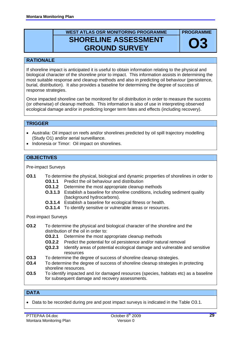# **WEST ATLAS OSR MONITORING PROGRAMME SHORELINE ASSESSMENT GROUND SURVEY**

# **RATIONALE**

If shoreline impact is anticipated it is useful to obtain information relating to the physical and biological character of the shoreline prior to impact. This information assists in determining the most suitable response and cleanup methods and also in predicting oil behaviour (persistence, burial, distribution). It also provides a baseline for determining the degree of success of response strategies.

Once impacted shoreline can be monitored for oil distribution in order to measure the success (or otherwise) of cleanup methods. This information is also of use in interpreting observed ecological damage and/or in predicting longer term fates and effects (including recovery).

# **TRIGGER**

- Australia: Oil impact on reefs and/or shorelines predicted by oil spill trajectory modelling (Study O1) and/or aerial surveillance.
- Indonesia or Timor: Oil impact on shorelines.

#### **OBJECTIVES**

Pre-impact Surveys

- **O3.1** To determine the physical, biological and dynamic properties of shorelines in order to **03.1.1** Predict the oil behaviour and distribution
	-
	- **03.1.2** Determine the most appropriate cleanup methods
	- **O.3.1.3** Establish a baseline for shoreline conditions, including sediment quality (background hydrocarbons).
	- **O.3.1.4** Establish a baseline for ecological fitness or health.
	- **O.3.1.4** To identify sensitive or vulnerable areas or resources.

Post-impact Surveys

- To determine the physical and biological character of the shoreline and the distribution of the oil in order to: **O3.2** 
	- **O3.2.1** Determine the most appropriate cleanup methods
	- **O3.2.2** Predict the potential for oil persistence and/or natural removal
	- **Q3.2.3** Identify areas of potential ecological damage and vulnerable and sensitive resources
- **O3.3** To determine the degree of success of shoreline cleanup strategies.
- **O3.4** To determine the degree of success of shoreline cleanup strategies in protecting shoreline resources.
- **O3.5** To identify impacted and /or damaged resources (species, habitats etc) as a baseline for subsequent damage and recovery assessments.

#### **DATA**

• Data to be recorded during pre and post impact surveys is indicated in the Table O3.1.

**PROGRAMME** 

**O3**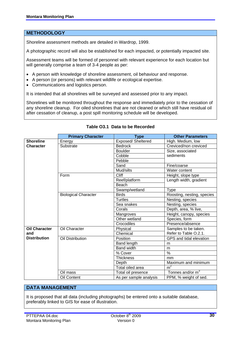#### **METHODOLOGY**

Shoreline assessment methods are detailed in Wardrop, 1999.

A photographic record will also be established for each impacted, or potentially impacted site.

Assessment teams will be formed of personnel with relevant experience for each location but will generally comprise a team of 3-4 people as per:

- A person with knowledge of shoreline assessment, oil behaviour and response.
- A person (or persons) with relevant wildlife or ecological expertise.
- Communications and logistics person.

It is intended that all shorelines will be surveyed and assessed prior to any impact.

Shorelines will be monitored throughout the response and immediately prior to the cessation of any shoreline cleanup. For oiled shorelines that are not cleaned or which still have residual oil after cessation of cleanup, a post spill monitoring schedule will be developed.

|                      | <b>Primary Character</b>    | <b>Type</b>            | <b>Other Parameters</b>    |
|----------------------|-----------------------------|------------------------|----------------------------|
| <b>Shoreline</b>     | Energy                      | Exposed/Sheltered      | High. Medium, low          |
| <b>Character</b>     | Substrate                   | <b>Bedrock</b>         | Creviced/non creviced      |
|                      |                             | <b>Boulder</b>         | Size, associated           |
|                      |                             | Cobble                 | sediments                  |
|                      |                             | Pebble                 |                            |
|                      |                             | Sand                   | Fine/coarse                |
|                      |                             | Mud/silts              | Water content              |
|                      | Form                        | Cliff                  | Height, slope type         |
|                      |                             | Reef/platform          | Length width, gradient     |
|                      |                             | Beach                  |                            |
|                      |                             | Swamp/wetland          | <b>Type</b>                |
|                      | <b>Biological Character</b> | <b>Birds</b>           | Roosting, nesting, species |
|                      |                             | <b>Turtles</b>         | Nesting, species           |
|                      |                             | Sea snakes             | Nesting, species           |
|                      |                             | Corals                 | Depth, area, % live,       |
|                      |                             | Mangroves              | Height, canopy, species    |
|                      |                             | Other wetland          | Species, form              |
|                      |                             | Crocodiles             | Presence/absence           |
| <b>Oil Character</b> | Oil Character               | Physical               | Samples to be taken.       |
| and                  |                             | Chemical               | Refer to Table O.2.1.      |
| <b>Distribution</b>  | Oil Distribution            | Position               | GPS and tidal elevation    |
|                      |                             | Band length            | m                          |
|                      |                             | <b>Band width</b>      | m                          |
|                      |                             | % Cover                | $\overline{\frac{9}{6}}$   |
|                      |                             | <b>Thickness</b>       | mm                         |
|                      |                             | Depth                  | Maximum and minimum        |
|                      |                             | Total oiled area       | m <sup>2</sup>             |
|                      | Oil mass                    | Total oil presence     | Tonnes and/or $m^3$        |
|                      | Oil Content                 | As per sample analysis | PPM, % weight of sed.      |

# **Table O3.1 Data to be Recorded**

#### **DATA MANAGEMENT**

It is proposed that all data (including photographs) be entered onto a suitable database, preferably linked to GIS for ease of illustration.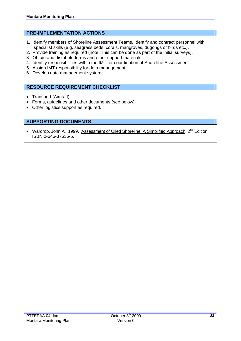# **PRE-IMPLEMENTATION ACTIONS**

- 1. Identify members of Shoreline Assessment Teams. Identify and contract personnel with specialist skills (e.g. seagrass beds, corals, mangroves, dugongs or birds etc.).
- 2. Provide training as required (note: This can be done as part of the initial surveys).
- 3. Obtain and distribute forms and other support materials..
- 4. Identify responsibilities within the IMT for coordination of Shoreline Assessment.
- 5. Assign IMT responsibility for data management.
- 6. Develop data management system.

# **RESOURCE REQUIREMENT CHECKLIST**

- Transport (Aircraft).
- Forms, guidelines and other documents (see below).
- Other logistics support as required.

# **SUPPORTING DOCUMENTS**

• Wardrop, John A. 1999. Assessment of Oiled Shoreline: A Simplified Approach. 2<sup>nd</sup> Edition. ISBN 0-646-37636-5.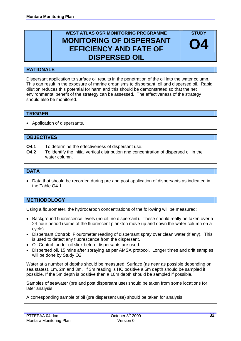# **WEST ATLAS OSR MONITORING PROGRAMME MONITORING OF DISPERSANT EFFICIENCY AND FATE OF DISPERSED OIL**

**STUDY** 

**O4**

# **RATIONALE**

Dispersant application to surface oil results in the penetration of the oil into the water column. This can result in the exposure of marine organisms to dispersant, oil and dispersed oil. Rapid dilution reduces this potential for harm and this should be demonstrated so that the net environmental benefit of the strategy can be assessed. The effectiveness of the strategy should also be monitored.

# **TRIGGER**

• Application of dispersants.

# **OBJECTIVES**

- **O4.1** To determine the effectiveness of dispersant use.
- **O4.2** To identify the initial vertical distribution and concentration of dispersed oil in the water column.

# **DATA**

• Data that should be recorded during pre and post application of dispersants as indicated in the Table O4.1.

# **METHODOLOGY**

Using a flourometer, the hydrocarbon concentrations of the following will be measured:

- Background fluorescence levels (no oil, no dispersant). These should really be taken over a 24 hour period (some of the fluorescent plankton move up and down the water column on a cycle).
- Dispersant Control: Flourometer reading of dispersant spray over clean water (if any). This is used to detect any fluorescence from the dispersant.
- Oil Control: under oil slick before dispersants are used.
- Dispersed oil. 15 mins after spraying as per AMSA protocol. Longer times and drift samples will be done by Study O2.

Water at a number of depths should be measured; Surface (as near as possible depending on sea states), 1m, 2m and 3m. If 3m reading is HC positive a 5m depth should be sampled if possible. If the 5m depth is positive then a 10m depth should be sampled if possible.

Samples of seawater (pre and post dispersant use) should be taken from some locations for later analysis.

A corresponding sample of oil (pre dispersant use) should be taken for analysis.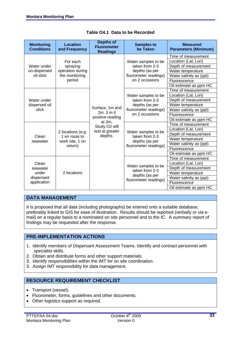| <b>Monitoring</b><br><b>Conditions</b> | <b>Location</b><br>and Frequency | <b>Depths of</b><br><b>Fluorometer</b><br><b>Readings</b> | <b>Samples to</b><br>be Taken           | <b>Measured</b><br><b>Parameters (Minimum)</b> |
|----------------------------------------|----------------------------------|-----------------------------------------------------------|-----------------------------------------|------------------------------------------------|
|                                        |                                  |                                                           |                                         | Time of measurement                            |
|                                        | For each                         |                                                           | Water samples to be                     | Location (Lat, Lon)                            |
| Water under                            | spraying                         |                                                           | taken from 2-3                          | Depth of measurement                           |
| un-dispersed                           | operation during                 |                                                           | depths (as per                          | Water temperature                              |
| oil slick                              | the monitoring                   |                                                           | fluorometer readings)                   | Water salinity as (ppt)                        |
|                                        | period                           |                                                           | on 2 occasions                          | Fluorescence                                   |
|                                        |                                  |                                                           |                                         | Oil estimate as ppm HC                         |
|                                        |                                  |                                                           |                                         | Time of measurement                            |
|                                        |                                  |                                                           | Water samples to be                     | Location (Lat, Lon)                            |
| Water under                            |                                  |                                                           | taken from 2-3                          | Depth of measurement                           |
| dispersed oil                          |                                  |                                                           | depths (as per<br>fluorometer readings) | Water temperature                              |
| slick                                  |                                  | Surface, 1m and<br>$2m.3m$ if<br>positive reading         |                                         | Water salinity as (ppt)                        |
|                                        |                                  |                                                           | on 2 occasions                          | Fluorescence                                   |
|                                        |                                  | at $3m$ .                                                 |                                         | Oil estimate as ppm HC                         |
|                                        |                                  | Study O2 will                                             |                                         | Time of measurement                            |
|                                        | 2 locations (e.g.                | test at greater                                           | Water samples to be                     | Location (Lat, Lon)                            |
| Clean                                  | 1 en route to                    | depths.                                                   | taken from 2-3                          | Depth of measurement                           |
| seawater                               | work site, 1 on<br>return)       |                                                           | depths (as per                          | Water temperature                              |
|                                        |                                  |                                                           | fluorometer readings)                   | Water salinity as (ppt)                        |
|                                        |                                  |                                                           |                                         | Fluorescence                                   |
|                                        |                                  |                                                           |                                         | Oil estimate as ppm HC                         |
|                                        |                                  |                                                           |                                         | Time of measurement                            |
| Clean                                  |                                  |                                                           | Water samples to be                     | Location (Lat, Lon)                            |
| seawater                               |                                  |                                                           | taken from 2-3                          | Depth of measurement                           |
| under                                  | 2 locations                      |                                                           | depths (as per                          | Water temperature                              |
| dispersant                             |                                  |                                                           | fluorometer readings)                   | Water salinity as (ppt)                        |
| application                            |                                  |                                                           |                                         | Fluorescence                                   |
|                                        |                                  |                                                           |                                         | Oil estimate as ppm HC                         |

|  |  | Table O4.1 Data to be Recorded |
|--|--|--------------------------------|
|  |  |                                |

# **DATA MANAGEMENT**

It is proposed that all data (including photographs) be entered onto a suitable database, preferably linked to GIS for ease of illustration. Results should be reported (verbally or via email) on a regular basis to a nominated on site personnel and to the IC. A summary report of findings may be requested after the response.

# **PRE-IMPLEMENTATION ACTIONS**

- 1. Identify members of Dispersant Assessment Teams. Identify and contract personnel with specialist skills.
- 2. Obtain and distribute forms and other support materials.
- 3. Identify responsibilities within the IMT for on site coordination.
- 3. Assign IMT responsibility for data management.

# **RESOURCE REQUIREMENT CHECKLIST**

- Transport (vessel).
- Fluorometer, forms, guidelines and other documents.
- Other logistics support as required.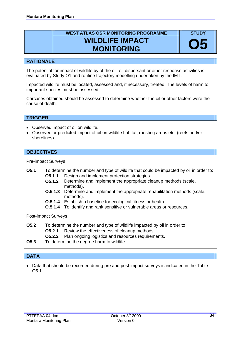# **WEST ATLAS OSR MONITORING PROGRAMME WILDLIFE IMPACT MONITORING**



The potential for impact of wildlife by of the oil, oil-dispersant or other response activities is evaluated by Study O1 and routine trajectory modelling undertaken by the IMT.

Impacted wildlife must be located, assessed and, if necessary, treated. The levels of harm to important species must be assessed.

Carcases obtained should be assessed to determine whether the oil or other factors were the cause of death.

# **TRIGGER**

- Observed impact of oil on wildlife.
- Observed or predicted impact of oil on wildlife habitat, roosting areas etc. (reefs and/or shorelines).

#### **OBJECTIVES**

Pre-impact Surveys

- **O5.1** To determine the number and type of wildlife that could be impacted by oil in order to: **05.1.1** Design and implement protection strategies.
	- **05.1.2** Determine and implement the appropriate cleanup methods (scale, methods).
	- **0.5.1.3** Determine and implement the appropriate rehabilitation methods (scale, methods).
	- **O.5.1.4** Establish a baseline for ecological fitness or health.
	- **0.5.1.4** To identify and rank sensitive or vulnerable areas or resources.

Post-impact Surveys

- To determine the number and type of wildlife impacted by oil in order to **O5.2.1** Review the effectiveness of cleanup methods. **O5.2 O5.2.2** Plan ongoing logistics and resources requirements.
- **O5.3** To determine the degree harm to wildlife.

# **DATA**

• Data that should be recorded during pre and post impact surveys is indicated in the Table O5.1.

**STUDY** 

**O5**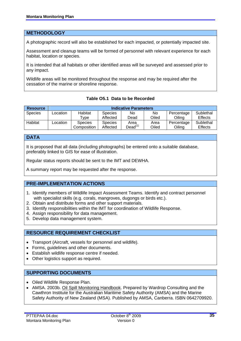# **METHODOLOGY**

A photographic record will also be established for each impacted, or potentially impacted site.

Assessment and cleanup teams will be formed of personnel with relevant experience for each habitat, location or species.

It is intended that all habitats or other identified areas will be surveyed and assessed prior to any impact.

Wildlife areas will be monitored throughout the response and may be required after the cessation of the marine or shoreline response.

**Table O5.1 Data to be Recorded** 

| <b>Resource</b> |          | <b>Indicative Parameters</b> |                |                             |       |            |                |  |  |
|-----------------|----------|------------------------------|----------------|-----------------------------|-------|------------|----------------|--|--|
| <b>Species</b>  | Location | Habitat                      | <b>Species</b> | No                          | No    | Percentage | Sublethal      |  |  |
|                 |          | $^{\mathsf{T}}$ vpe          | Affected       | Dead                        | Oiled | Oilina     | <b>Effects</b> |  |  |
| Habitat         | Location | <b>Species</b>               | <b>Species</b> | Area                        | Area  | Percentage | Sublethal      |  |  |
|                 |          | Composition                  | Affected       | Dead $^{\text{\tiny{(1)}}}$ | Oiled | Oiling     | <b>Effects</b> |  |  |

#### **DATA**

It is proposed that all data (including photographs) be entered onto a suitable database, preferably linked to GIS for ease of illustration.

Regular status reports should be sent to the IMT and DEWHA.

A summary report may be requested after the response.

# **PRE-IMPLEMENTATION ACTIONS**

- 1. Identify members of Wildlife Impact Assessment Teams. Identify and contract personnel with specialist skills (e.g. corals, mangroves, dugongs or birds etc.).
- 2. Obtain and distribute forms and other support materials.
- 3. Identify responsibilities within the IMT for coordination of Wildlife Response.
- 4. Assign responsibility for data management.
- 5. Develop data management system.

# **RESOURCE REQUIREMENT CHECKLIST**

- Transport (Aircraft, vessels for personnel and wildlife).
- Forms, guidelines and other documents.
- Establish wildlife response centre if needed.
- Other logistics support as required.

# **SUPPORTING DOCUMENTS**

- Oiled Wildlife Response Plan.
- AMSA. 2003b. Oil Spill Monitoring Handbook. Prepared by Wardrop Consulting and the Cawthron Institute for the Australian Maritime Safety Authority (AMSA) and the Marine Safety Authority of New Zealand (MSA). Published by AMSA, Canberra. ISBN 0642709920.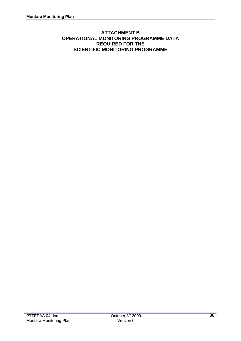# **ATTACHMENT B OPERATIONAL MONITORING PROGRAMME DATA REQUIRED FOR THE SCIENTIFIC MONITORING PROGRAMME**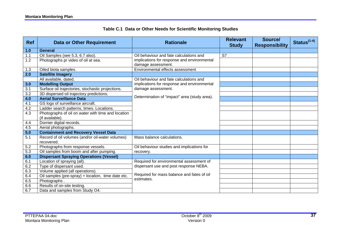# **Table C.1 Data or Other Needs for Scientific Monitoring Studies**

| <b>Ref</b> | <b>Data or Other Requirement</b>                   | <b>Rationale</b>                                         | <b>Relevant</b><br><b>Study</b> | Source/<br><b>Responsibility</b> | Status $(1-4)$ |
|------------|----------------------------------------------------|----------------------------------------------------------|---------------------------------|----------------------------------|----------------|
| 1.0        | <b>General</b>                                     |                                                          |                                 |                                  |                |
| 1.1        | Oil Samples (see 5.3, 6.7 also).                   | Oil behaviour and fate calculations and                  | S7                              |                                  |                |
| 1.2        | Photographs pr video of oil at sea.                | implications for response and environmental              |                                 |                                  |                |
|            |                                                    | damage assessment.                                       |                                 |                                  |                |
| 1.3        | Oiled biota samples.                               | Environmental effects assessment                         |                                 |                                  |                |
| 2.0        | <b>Satellite Imagery</b>                           |                                                          |                                 |                                  |                |
|            | All available, dated.                              | Oil behaviour and fate calculations and                  |                                 |                                  |                |
| 3.0        | <b>Modelling Output</b>                            | implications for response and environmental              |                                 |                                  |                |
| 3.1        | Surface oil trajectories, stochastic projections.  | damage assessment.                                       |                                 |                                  |                |
| 3.2        | 3D dispersed oil trajectory predictions.           | Determination of "impact" area (study area).             |                                 |                                  |                |
| 4.0        | <b>Aerial Surveillance Data</b>                    |                                                          |                                 |                                  |                |
| 4.1        | GS logs of surveillance aircraft.                  |                                                          |                                 |                                  |                |
| 4.2        | Ladder search patterns, times. Locations.          |                                                          |                                 |                                  |                |
| 4.3        | Photographs of oil on water with time and location |                                                          |                                 |                                  |                |
|            | (if available).                                    |                                                          |                                 |                                  |                |
| 4.4        | Dornier digital records.                           |                                                          |                                 |                                  |                |
| 4.5        | Aerial photographs.                                |                                                          |                                 |                                  |                |
| 5.0        | <b>Containment and Recovery Vessel Data</b>        |                                                          |                                 |                                  |                |
| 5.1        | Record of oil volumes (and/or oil-water volumes)   | Mass balance calculations.                               |                                 |                                  |                |
|            | recovered.                                         |                                                          |                                 |                                  |                |
| 5.2        | Photographs from response vessels.                 | Oil behaviour studies and implications for               |                                 |                                  |                |
| 5.3        | Oil samples from boom and after pumping.           | recovery.                                                |                                 |                                  |                |
| 6.0        | <b>Dispersant Spraying Operations (Vessel)</b>     |                                                          |                                 |                                  |                |
| 6.1        | Location of spraying (all).                        | Required for environmental assessment of                 |                                 |                                  |                |
| 6.2        | Type of dispersant used.                           | dispersant use and post response NEBA.                   |                                 |                                  |                |
| 6.3        | Volume applied (all operations).                   |                                                          |                                 |                                  |                |
| 6.4        | Oil samples (pre-spray) + location, time date etc. | Required for mass balance and fates of oil<br>estimates. |                                 |                                  |                |
| 6.5        | Photographs.                                       |                                                          |                                 |                                  |                |
| 6.6        | Results of on-site testing.                        |                                                          |                                 |                                  |                |
| 6.7        | Data and samples from Study O4.                    |                                                          |                                 |                                  |                |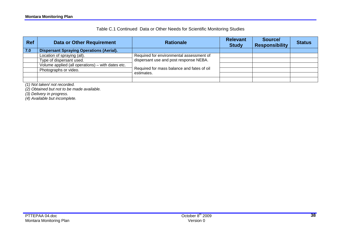# Table C.1 Continued Data or Other Needs for Scientific Monitoring Studies

| <b>Ref</b> | <b>Data or Other Requirement</b>                  | <b>Rationale</b>                                                                     | <b>Relevant</b><br><b>Study</b> | Source/<br><b>Responsibility</b> | <b>Status</b> |
|------------|---------------------------------------------------|--------------------------------------------------------------------------------------|---------------------------------|----------------------------------|---------------|
| 7.0        | <b>Dispersant Spraying Operations (Aerial).</b>   |                                                                                      |                                 |                                  |               |
|            | Location of spraying (all).                       | Required for environmental assessment of                                             |                                 |                                  |               |
|            | Type of dispersant used.                          | dispersant use and post response NEBA.<br>Required for mass balance and fates of oil |                                 |                                  |               |
|            | Volume applied (all operations) – with dates etc. |                                                                                      |                                 |                                  |               |
|            | Photographs or video.                             |                                                                                      |                                 |                                  |               |
|            |                                                   | estimates.                                                                           |                                 |                                  |               |
|            |                                                   |                                                                                      |                                 |                                  |               |

*(1) Not taken/ not recorded.* 

*(2) Obtained but not to be made available.* 

*(3) Delivery in progress.* 

*(4) Available but incomplete.*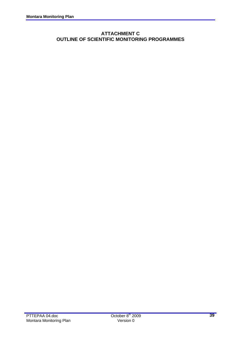# **ATTACHMENT C OUTLINE OF SCIENTIFIC MONITORING PROGRAMMES**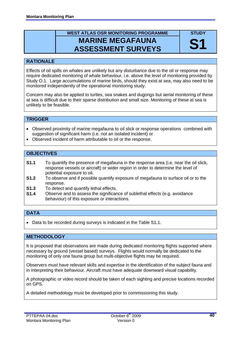# **WEST ATLAS OSR MONITORING PROGRAMME MARINE MEGAFAUNA ASSESSMENT SURVEYS**

**STUDY** 

**S1** 

# **RATIONALE**

Effects of oil spills on whales are unlikely but any disturbance due to the oil or response may require dedicated monitoring of whale behaviour, i.e. above the level of monitoring provided by Study O.1. Large accumulations of marine birds, should they exist at sea, may also need to be monitored independently of the operational monitoring study.

Concern may also be applied to turtles, sea snakes and dugongs but aerial monitoring of these at sea is difficult due to their sparse distribution and small size. Monitoring of these at sea is unlikely to be feasible.

# **TRIGGER**

- Observed proximity of marine megafauna to oil slick or response operations combined with suggestion of significant harm (i.e. not an isolated incident) or
- Observed incident of harm attributable to oil or the response.

# **OBJECTIVES**

- **S1.1** To quantify the presence of megafauna in the response area (i.e. near the oil slick, response vessels or aircraft) or wider region in order to determine the level of potential exposure to oil.
- **S1.2** To observe and if possible quantify exposure of megafauna to surface oil or to the response.
- **S1.3** To detect and quantify lethal effects.
- **S1.4** Observe and to assess the significance of sublethal effects (e.g. avoidance behaviour) of this exposure or interactions.

# **DATA**

• Data to be recorded during surveys is indicated in the Table S1.1.

# **METHODOLOGY**

It is proposed that observations are made during dedicated monitoring flights supported where necessary by ground (vessel based) surveys. Flights would normally be dedicated to the monitoring of only one fauna group but multi-objective flights may be required.

Observers must have relevant skills and expertise in the identification of the subject fauna and in interpreting their behaviour. Aircraft must have adequate downward visual capability.

A photographic or video record should be taken of each sighting and precise locations recorded on GPS.

A detailed methodology must be developed prior to commissioning this study.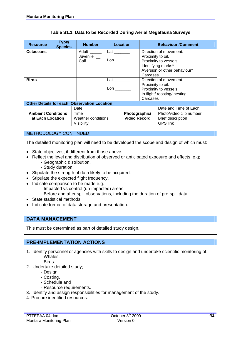| <b>Resource</b>           | Type/<br><b>Species</b> | <b>Number</b>                                      |                                                                                                                                                                                                                                | Location            |                        | <b>Behaviour /Comment</b>    |  |
|---------------------------|-------------------------|----------------------------------------------------|--------------------------------------------------------------------------------------------------------------------------------------------------------------------------------------------------------------------------------|---------------------|------------------------|------------------------------|--|
| <b>Cetaceans</b>          |                         | Adult ______                                       | Lat $\_\_$                                                                                                                                                                                                                     |                     |                        | Direction of movement.       |  |
|                           |                         | Juvenile _                                         |                                                                                                                                                                                                                                |                     | Proximity to oil.      |                              |  |
|                           |                         | Calf                                               | Lon the contract of the contract of the contract of the contract of the contract of the contract of the contract of the contract of the contract of the contract of the contract of the contract of the contract of the contra |                     |                        | Proximity to vessels.        |  |
|                           |                         |                                                    |                                                                                                                                                                                                                                |                     |                        | Identifying marks*           |  |
|                           |                         |                                                    |                                                                                                                                                                                                                                |                     |                        | Aversion or other behaviour* |  |
|                           |                         |                                                    |                                                                                                                                                                                                                                |                     | Carcases               |                              |  |
| <b>Birds</b>              |                         |                                                    | Lat                                                                                                                                                                                                                            |                     | Direction of movement. |                              |  |
|                           |                         |                                                    |                                                                                                                                                                                                                                |                     | Proximity to oil.      |                              |  |
|                           |                         |                                                    | Lon to the set of the set of the set of the set of the set of the set of the set of the set of the set of the s                                                                                                                |                     |                        | Proximity to vessels.        |  |
|                           |                         |                                                    |                                                                                                                                                                                                                                |                     |                        | In flight/ roosting/ nesting |  |
|                           |                         |                                                    |                                                                                                                                                                                                                                |                     | Carcases               |                              |  |
|                           |                         | <b>Other Details for each Observation Location</b> |                                                                                                                                                                                                                                |                     |                        |                              |  |
|                           |                         | Date                                               |                                                                                                                                                                                                                                |                     |                        | Date and Time of Each        |  |
| <b>Ambient Conditions</b> |                         | Time                                               |                                                                                                                                                                                                                                | Photographic/       |                        | Photo/video clip number      |  |
| at Each Location          |                         | Weather conditions                                 |                                                                                                                                                                                                                                | <b>Video Record</b> |                        | Brief description            |  |
|                           |                         | Visibility                                         |                                                                                                                                                                                                                                |                     |                        | <b>GPS link</b>              |  |

#### **Table S1.1 Data to be Recorded During Aerial Megafauna Surveys**

#### METHODOLOGY CONTINUED

The detailed monitoring plan will need to be developed the scope and design of which must:

- State objectives, if different from those above.
- Reflect the level and distribution of observed or anticipated exposure and effects ,e.g;
	- Geographic distribution.
		- Study duration
- Stipulate the strength of data likely to be acquired.
- Stipulate the expected flight frequency.
- Indicate comparison to be made e.g.
	- Impacted vs control (un-impacted) areas.
	- Before and after spill observations, including the duration of pre-spill data.
- State statistical methods.
- Indicate format of data storage and presentation.

#### **DATA MANAGEMENT**

This must be determined as part of detailed study design.

# **PRE-IMPLEMENTATION ACTIONS**

- 1. Identify personnel or agencies with skills to design and undertake scientific monitoring of: - Whales.
	- Birds.
- 2. Undertake detailed study;
	- Design.
	- Costing.
	- Schedule and
	- Resource requirements.
- 3. Identify and assign responsibilities for management of the study.
- 4. Procure identified resources.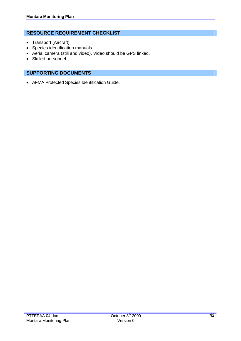# **RESOURCE REQUIREMENT CHECKLIST**

- Transport (Aircraft).
- Species identification manuals.
- Aerial camera (still and video). Video should be GPS linked.
- Skilled personnel.

# **SUPPORTING DOCUMENTS**

• AFMA Protected Species Identification Guide.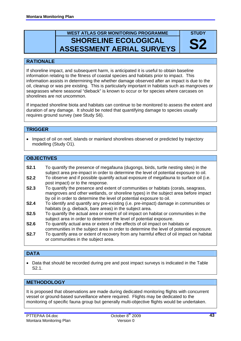# **WEST ATLAS OSR MONITORING PROGRAMME SHORELINE ECOLOGICAL ASSESSMENT AERIAL SURVEYS**

# **STUDY S2**

# **RATIONALE**

If shoreline impact, and subsequent harm, is anticipated it is useful to obtain baseline information relating to the fitness of coastal species and habitats prior to impact. This information assists in determining the whether damage observed after an impact is due to the oil, cleanup or was pre existing. This is particularly important in habitats such as mangroves or seagrasses where seasonal "dieback" is known to occur or for species where carcases on shorelines are not uncommon.

If impacted shoreline biota and habitats can continue to be monitored to assess the extent and duration of any damage. It should be noted that quantifying damage to species usually requires ground survey (see Study S6).

# **TRIGGER**

• Impact of oil on reef, islands or mainland shorelines observed or predicted by trajectory modelling (Study O1).

# **OBJECTIVES**

- **S2.1** To quantify the presence of megafauna (dugongs, birds, turtle nesting sites) in the subject area pre-impact in order to determine the level of potential exposure to oil.
- **S2.2** To observe and if possible quantify actual exposure of megafauna to surface oil (i.e. post impact) or to the response.
- **S2.3** To quantify the presence and extent of communities or habitats (corals, seagrass, mangroves and other wetlands, or shoreline types) in the subject area before impact by oil in order to determine the level of potential exposure to oil.
- **S2.4** To identify and quantify any pre-existing (i.e. pre-impact) damage in communities or habitats (e.g. dieback, bare areas) in the subject area.
- **S2.5** To quantify the actual area or extent of oil impact on habitat or communities in the subject area in order to determine the level of potential exposure.
- **S2.6** To quantify actual area or extent of the effects of oil impact on habitats or communities in the subject area in order to determine the level of potential exposure.
- **S2.7** To quantify area or extent of recovery from any harmful effect of oil impact on habitat or communities in the subject area.

# **DATA**

• Data that should be recorded during pre and post impact surveys is indicated in the Table S2.1.

# **METHODOLOGY**

It is proposed that observations are made during dedicated monitoring flights with concurrent vessel or ground-based surveillance where required. Flights may be dedicated to the monitoring of specific fauna group but generally multi-objective flights would be undertaken.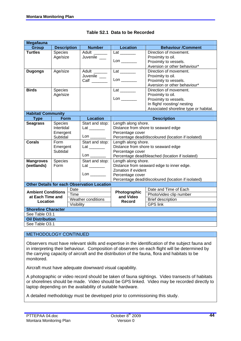| Megafauna                  |                            |            |                                                    |                                                                        |                                                    |  |  |  |
|----------------------------|----------------------------|------------|----------------------------------------------------|------------------------------------------------------------------------|----------------------------------------------------|--|--|--|
| <b>Group</b>               | <b>Description</b>         |            | <b>Number</b>                                      | <b>Location</b>                                                        | <b>Behaviour /Comment</b>                          |  |  |  |
| <b>Turtles</b>             | <b>Species</b>             |            | Adult                                              |                                                                        | Direction of movement.                             |  |  |  |
|                            | Age/size                   |            | Juvenile __                                        |                                                                        | Proximity to oil.                                  |  |  |  |
|                            |                            |            |                                                    |                                                                        | Proximity to vessels.                              |  |  |  |
|                            |                            |            |                                                    |                                                                        | Aversion or other behaviour*                       |  |  |  |
| <b>Dugongs</b>             | Age/size                   |            | Adult ______                                       |                                                                        | Direction of movement.                             |  |  |  |
|                            |                            |            | Juvenile __                                        |                                                                        | Proximity to oil.                                  |  |  |  |
|                            |                            |            | Calf $\_\_$                                        |                                                                        | Proximity to vessels.                              |  |  |  |
|                            |                            |            |                                                    |                                                                        | Aversion or other behaviour*                       |  |  |  |
| <b>Birds</b>               | Species                    |            |                                                    | $Lat$ <sub>_________</sub>                                             | Direction of movement.                             |  |  |  |
|                            | Age/size                   |            |                                                    |                                                                        | Proximity to oil.                                  |  |  |  |
|                            |                            |            |                                                    | $\mathsf{Lon} \_\_\_\_\_\_\$                                           | Proximity to vessels.                              |  |  |  |
|                            |                            |            |                                                    |                                                                        | In flight/ roosting/ nesting                       |  |  |  |
|                            |                            |            |                                                    |                                                                        | Associated shoreline type or habitat.              |  |  |  |
| <b>Habitat/ Community</b>  |                            |            |                                                    |                                                                        |                                                    |  |  |  |
| <b>Type</b>                | <b>Form</b>                |            | <b>Location</b>                                    |                                                                        | <b>Description</b>                                 |  |  |  |
| <b>Seagrass</b><br>Species |                            |            | Start and stop:                                    | Length along shore.                                                    |                                                    |  |  |  |
|                            | Intertidal                 |            |                                                    | Distance from shore to seaward edge                                    |                                                    |  |  |  |
|                            | Emergent                   |            | $\mathsf{Lon} \_\_\_\_\_\_\$                       | Percentage cover<br>Percentage dead/discoloured (location if isolated) |                                                    |  |  |  |
| Corals                     | Subtidal                   |            |                                                    |                                                                        |                                                    |  |  |  |
|                            | Form                       |            | Start and stop:                                    | Length along shore.                                                    |                                                    |  |  |  |
|                            | Emergent                   |            |                                                    | Distance from shore to seaward edge                                    |                                                    |  |  |  |
|                            | Subtidal                   |            | $\mathsf{Lon} \_\_\_\_\_\_\$                       | Percentage cover<br>Percentage dead/bleached (location if isolated)    |                                                    |  |  |  |
| <b>Mangroves</b>           | Species                    |            | Start and stop:                                    | Length along shore.                                                    |                                                    |  |  |  |
| (wetlands)                 | Form                       |            |                                                    |                                                                        | Distance from seaward edge to inner edge.          |  |  |  |
|                            |                            |            |                                                    | Zonation if evident                                                    |                                                    |  |  |  |
|                            |                            |            |                                                    | Percentage cover                                                       |                                                    |  |  |  |
|                            |                            |            |                                                    |                                                                        | Percentage dead/discoloured (location if isolated) |  |  |  |
|                            |                            |            | <b>Other Details for each Observation Location</b> |                                                                        |                                                    |  |  |  |
|                            |                            | Date       |                                                    |                                                                        | Date and Time of Each                              |  |  |  |
| <b>Ambient Conditions</b>  |                            | Time       |                                                    | Photographic                                                           | Photo/video clip number                            |  |  |  |
| at Each Time and           |                            |            | Weather conditions                                 | and Video                                                              | <b>Brief description</b>                           |  |  |  |
| Location                   |                            | Visibility |                                                    | Record                                                                 | <b>GPS link</b>                                    |  |  |  |
|                            | <b>Shoreline Character</b> |            |                                                    |                                                                        |                                                    |  |  |  |
| See Table O3.1             |                            |            |                                                    |                                                                        |                                                    |  |  |  |
| <b>Oil Distribution</b>    |                            |            |                                                    |                                                                        |                                                    |  |  |  |
| See Table O3.1             |                            |            |                                                    |                                                                        |                                                    |  |  |  |
|                            |                            |            |                                                    |                                                                        |                                                    |  |  |  |

# **Table S2.1 Data to be Recorded**

#### METHODOLOGY CONTINUED

Observers must have relevant skills and expertise in the identification of the subject fauna and in interpreting their behaviour. Composition of observers on each flight will be determined by the carrying capacity of aircraft and the distribution of the fauna, flora and habitats to be monitored.

Aircraft must have adequate downward visual capability.

A photographic or video record should be taken of fauna sightings. Video transects of habitats or shorelines should be made. Video should be GPS linked. Video may be recorded directly to laptop depending on the availability of suitable hardware.

A detailed methodology must be developed prior to commissioning this study.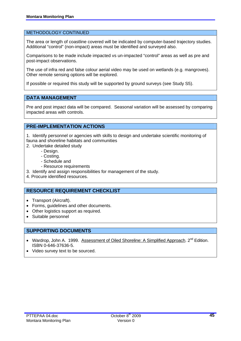#### METHODOLOGY CONTINUED

The area or length of coastline covered will be indicated by computer-based trajectory studies. Additional "control" (non-impact) areas must be identified and surveyed also.

Comparisons to be made include impacted vs un-impacted "control" areas as well as pre and post-impact observations.

The use of infra red and false colour aerial video may be used on wetlands (e.g. mangroves). Other remote sensing options will be explored.

If possible or required this study will be supported by ground surveys (see Study S5).

# **DATA MANAGEMENT**

Pre and post impact data will be compared. Seasonal variation will be assessed by comparing impacted areas with controls.

# **PRE-IMPLEMENTATION ACTIONS**

1. Identify personnel or agencies with skills to design and undertake scientific monitoring of fauna and shoreline habitats and communities

- 2. Undertake detailed study
	- Design.
	- Costing.
	- Schedule and
	- Resource requirements
- 3. Identify and assign responsibilities for management of the study.
- 4. Procure identified resources.

# **RESOURCE REQUIREMENT CHECKLIST**

- Transport (Aircraft).
- Forms, guidelines and other documents.
- Other logistics support as required.
- Suitable personnel

#### **SUPPORTING DOCUMENTS**

- Wardrop, John A. 1999. Assessment of Oiled Shoreline: A Simplified Approach. 2<sup>nd</sup> Edition. ISBN 0-646-37636-5.
- Video survey text to be sourced.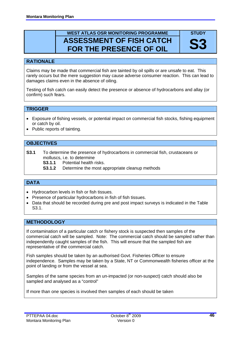# **WEST ATLAS OSR MONITORING PROGRAMME ASSESSMENT OF FISH CATCH FOR THE PRESENCE OF OIL**

**STUDY S3** 

#### **RATIONALE**

Claims may be made that commercial fish are tainted by oil spills or are unsafe to eat. This rarely occurs but the mere suggestion may cause adverse consumer reaction. This can lead to damages claims even in the absence of oiling.

Testing of fish catch can easily detect the presence or absence of hydrocarbons and allay (or confirm) such fears.

# **TRIGGER**

- Exposure of fishing vessels, or potential impact on commercial fish stocks, fishing equipment or catch by oil.
- Public reports of tainting.

#### **OBJECTIVES**

**S3.1** To determine the presence of hydrocarbons in commercial fish, crustaceans or molluscs, i.e. to determine

 **S3.1.1** Potential health risks.

**S3.1.2** Determine the most appropriate cleanup methods

#### **DATA**

- Hydrocarbon levels in fish or fish tissues.
- Presence of particular hydrocarbons in fish of fish tissues.
- Data that should be recorded during pre and post impact surveys is indicated in the Table S3.1.

#### **METHODOLOGY**

If contamination of a particular catch or fishery stock is suspected then samples of the commercial catch will be sampled. Note: The commercial catch should be sampled rather than independently caught samples of the fish. This will ensure that the sampled fish are representative of the commercial catch.

Fish samples should be taken by an authorised Govt. Fisheries Officer to ensure independence. Samples may be taken by a State, NT or Commonwealth fisheries officer at the point of landing or from the vessel at sea.

Samples of the same species from an un-impacted (or non-suspect) catch should also be sampled and analysed as a "control"

If more than one species is involved then samples of each should be taken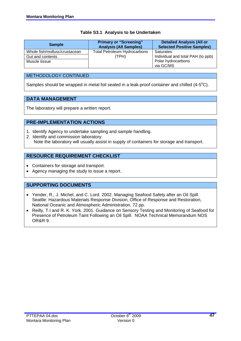#### **Table S3.1 Analysis to be Undertaken**

| <b>Sample</b>                 | <b>Primary or "Screening"</b><br><b>Analysis (All Samples)</b> | <b>Detailed Analysis (All or</b><br><b>Selected Positive Samples)</b> |
|-------------------------------|----------------------------------------------------------------|-----------------------------------------------------------------------|
| Whole fish/mollusc/crustacean | <b>Total Petroleum Hydrocarbons</b>                            | Saturates                                                             |
| Gut and contents              | (TPH)                                                          | Individual and total PAH (to ppb)                                     |
| Muscle tissue                 |                                                                | Polar hydrocarbons                                                    |
|                               |                                                                | via GC/MS                                                             |

# METHODOLOGY CONTINUED

Samples should be wrapped in metal foil sealed in a leak-proof container and chilled (4-5°C).

# **DATA MANAGEMENT**

The laboratory will prepare a written report.

# **PRE-IMPLEMENTATION ACTIONS**

- 1. Identify Agency to undertake sampling and sample handling.
- 2. Identify and commission laboratory. Note the laboratory will usually assist in supply of containers for storage and transport.

# **RESOURCE REQUIREMENT CHECKLIST**

- Containers for storage and transport.
- Agency managing the study to issue a report.

# **SUPPORTING DOCUMENTS**

- Yender, R., J. Michel, and C. Lord. 2002. Managing Seafood Safety after an Oil Spill. Seattle: Hazardous Materials Response Division, Office of Response and Restoration, National Oceanic and Atmospheric Administration. 72 pp.
- Reilly, T.I and R. K. York. 2001. Guidance on Sensory Testing and Monitoring of Seafood for Presence of Petroleum Taint Following an Oil Spill. NOAA Technical Memorandum NOS OR&R 9.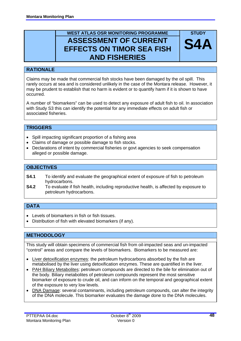# **WEST ATLAS OSR MONITORING PROGRAMME ASSESSMENT OF CURRENT EFFECTS ON TIMOR SEA FISH AND FISHERIES**



Claims may be made that commercial fish stocks have been damaged by the oil spill. This rarely occurs at sea and is considered unlikely in the case of the Montara release. However, it may be prudent to establish that no harm is evident or to quantify harm if it is shown to have occurred.

A number of "biomarkers" can be used to detect any exposure of adult fish to oil. In association with Study S3 this can identify the potential for any immediate effects on adult fish or associated fisheries.

# **TRIGGERS**

- Spill impacting significant proportion of a fishing area
- Claims of damage or possible damage to fish stocks.
- Declarations of intent by commercial fisheries or govt agencies to seek compensation alleged or possible damage.

# **OBJECTIVES**

- **S4.1** To identify and evaluate the geographical extent of exposure of fish to petroleum hydrocarbons.
- **S4.2** To evaluate if fish health, including reproductive health, is affected by exposure to petroleum hydrocarbons.

# **DATA**

- Levels of biomarkers in fish or fish tissues.
- Distribution of fish with elevated biomarkers (if any).

# **METHODOLOGY**

This study will obtain specimens of commercial fish from oil-impacted seas and un-impacted "control" areas and compare the levels of biomarkers. Biomarkers to be measured are:

- Liver detoxification enzymes: the petroleum hydrocarbons absorbed by the fish are metabolised by the liver using detoxification enzymes. These are quantified in the liver.
- PAH Biliary Metabolites: petroleum compounds are directed to the bile for elimination out of the body. Biliary metabolites of petroleum compounds represent the most sensitive biomarker of exposure to crude oil, and can inform on the temporal and geographical extent of the exposure to very low levels.
- DNA Damage: several contaminants, including petroleum compounds, can alter the integrity of the DNA molecule. This biomarker evaluates the damage done to the DNA molecules.

**STUDY** 

**S4A**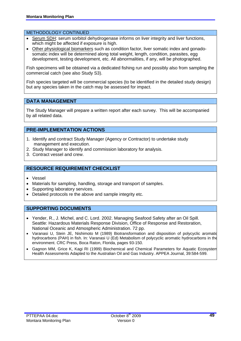#### METHODOLOGY CONTINUED

- Serum SDH: serum sorbitol dehydrogenase informs on liver integrity and liver functions, which might be affected if exposure is high.
- Other physiological biomarkers such as condition factor, liver somatic index and gonadosomatic index will be determined along total weight, length, condition, parasites, egg development, testing development, etc. All abnormalities, if any, will be photographed.

Fish specimens will be obtained via a dedicated fishing run and possibly also from sampling the commercial catch (see also Study S3).

Fish species targeted will be commercial species (to be identified in the detailed study design) but any species taken in the catch may be assessed for impact.

#### **DATA MANAGEMENT**

The Study Manager will prepare a written report after each survey. This will be accompanied by all related data.

# **PRE-IMPLEMENTATION ACTIONS**

- 1. Identify and contract Study Manager (Agency or Contractor) to undertake study management and execution.
- 2. Study Manager to identify and commission laboratory for analysis.
- 3. Contract vessel and crew.

# **RESOURCE REQUIREMENT CHECKLIST**

- Vessel
- Materials for sampling, handling, storage and transport of samples.
- Supporting laboratory services.
- Detailed protocols re the above and sample integrity etc.

#### **SUPPORTING DOCUMENTS**

- Yender, R., J. Michel, and C. Lord. 2002. Managing Seafood Safety after an Oil Spill. Seattle: Hazardous Materials Response Division, Office of Response and Restoration, National Oceanic and Atmospheric Administration. 72 pp.
- Varanasi U, Stein JE, Nishimoto M (1989) Biotransformation and disposition of polycyclic aromatic hydrocarbons (PAH) in fish. In: Varanasi U (Ed) Metabolism of polycyclic aromatic hydrocarbons in the environment. CRC Press, Boca Raton, Florida, pages 93-150.
- Gagnon MM, Grice K, Kagi RI (1999) Biochemical and Chemical Parameters for Aquatic Ecosystem Health Assessments Adapted to the Australian Oil and Gas Industry. APPEA Journal, 39:584-599.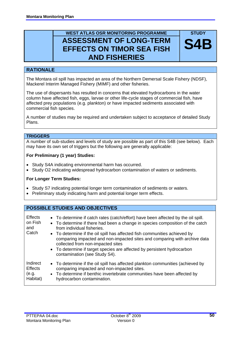# **WEST ATLAS OSR MONITORING PROGRAMME ASSESSMENT OF LONG-TERM EFFECTS ON TIMOR SEA FISH AND FISHERIES**

# **RATIONALE**

The Montara oil spill has impacted an area of the Northern Demersal Scale Fishery (NDSF), Mackerel Interim Managed Fishery (MIMF) and other fisheries.

The use of dispersants has resulted in concerns that elevated hydrocarbons in the water column have affected fish, eggs, larvae or other life-cycle stages of commercial fish, have affected prey populations (e.g. plankton) or have impacted sediments associated with commercial fish species.

A number of studies may be required and undertaken subject to acceptance of detailed Study Plans.

# **TRIGGERS**

A number of sub-studies and levels of study are possible as part of this S4B (see below). Each may have its own set of triggers but the following are generally applicable:

#### **For Preliminary (1 year) Studies:**

- Study S4A indicating environmental harm has occurred.
- Study O2 indicating widespread hydrocarbon contamination of waters or sediments.

#### **For Longer Term Studies:**

- Study S7 indicating potential longer term contamination of sediments or waters.
- Preliminary study indicating harm and potential longer term effects.

# **POSSIBLE STUDIES AND OBJECTIVES**

| <b>Effects</b><br>on Fish<br>and<br>Catch | • To determine if catch rates (catch/effort) have been affected by the oil spill.<br>• To determine if there had been a change in species composition of the catch<br>from individual fisheries.<br>• To determine if the oil spill has affected fish communities achieved by<br>comparing impacted and non-impacted sites and comparing with archive data<br>collected from non-impacted sites<br>• To determine if target species are affected by persistent hydrocarbon<br>contamination (see Study S4). |
|-------------------------------------------|-------------------------------------------------------------------------------------------------------------------------------------------------------------------------------------------------------------------------------------------------------------------------------------------------------------------------------------------------------------------------------------------------------------------------------------------------------------------------------------------------------------|
| Indirect                                  | • To determine if the oil spill has affected plankton communities (achieved by                                                                                                                                                                                                                                                                                                                                                                                                                              |
| <b>Effects</b>                            | comparing impacted and non-impacted sites.                                                                                                                                                                                                                                                                                                                                                                                                                                                                  |
| (e.g.                                     | • To determine if benthic invertebrate communities have been affected by                                                                                                                                                                                                                                                                                                                                                                                                                                    |
| Habitat)                                  | hydrocarbon contamination.                                                                                                                                                                                                                                                                                                                                                                                                                                                                                  |

**STUDY** 

**S4**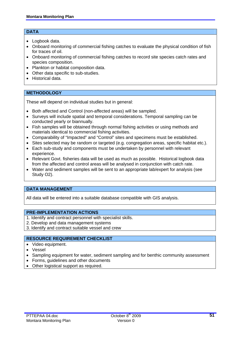#### **DATA**

- Logbook data.
- Onboard monitoring of commercial fishing catches to evaluate the physical condition of fish for traces of oil.
- Onboard monitoring of commercial fishing catches to record site species catch rates and species composition.
- Plankton or habitat composition data.
- Other data specific to sub-studies.
- Historical data.

# **METHODOLOGY**

These will depend on individual studies but in general:

- Both affected and Control (non-affected areas) will be sampled.
- Surveys will include spatial and temporal considerations. Temporal sampling can be conducted yearly or biannually.
- Fish samples will be obtained through normal fishing activities or using methods and materials identical to commercial fishing activities.
- Comparability of "Impacted" and "Control" sites and specimens must be established.
- Sites selected may be random or targeted (e.g. congregation areas, specific habitat etc.).
- Each sub-study and components must be undertaken by personnel with relevant experience.
- Relevant Govt, fisheries data will be used as much as possible. Historical logbook data from the affected and control areas will be analysed in conjunction with catch rate.
- Water and sediment samples will be sent to an appropriate lab/expert for analysis (see Study O2).

# **DATA MANAGEMENT**

All data will be entered into a suitable database compatible with GIS analysis.

#### **PRE-IMPLEMENTATION ACTIONS**

- 1. Identify and contract personnel with specialist skills.
- 2. Develop and data management systems
- 3. Identify and contract suitable vessel and crew

# **RESOURCE REQUIREMENT CHECKLIST**

- Video equipment.
- Vessel
- Sampling equipment for water, sediment sampling and for benthic community assessment
- Forms, guidelines and other documents
- Other logistical support as required.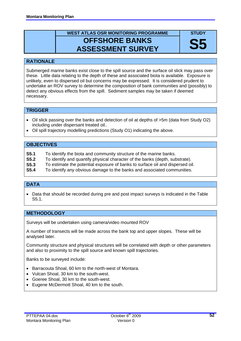# **WEST ATLAS OSR MONITORING PROGRAMME OFFSHORE BANKS ASSESSMENT SURVEY**

**STUDY** 

**S5** 

#### **RATIONALE**

Submerged marine banks exist close to the spill source and the surface oil slick may pass over these. Little data relating to the depth of these and associated biota is available. Exposure is unlikely, even to dispersed oil but concerns may be expressed. It is considered prudent to undertake an ROV survey to determine the composition of bank communities and (possibly) to detect any obvious effects from the spill. Sediment samples may be taken if deemed necessary.

# **TRIGGER**

- Oil slick passing over the banks and detection of oil at depths of >5m (data from Study O2) including under dispersant treated oil..
- Oil spill trajectory modelling predictions (Study O1) indicating the above.

# **OBJECTIVES**

- **S5.1** To identify the biota and community structure of the marine banks.
- **S5.2** To identify and quantify physical character of the banks (depth, substrate).
- **S5.3** To estimate the potential exposure of banks to surface oil and dispersed oil.
- **S5.4** To identify any obvious damage to the banks and associated communities.

# **DATA**

• Data that should be recorded during pre and post impact surveys is indicated in the Table S5.1.

# **METHODOLOGY**

Surveys will be undertaken using camera/video mounted ROV

A number of transects will be made across the bank top and upper slopes. These will be analysed later.

Community structure and physical structures will be correlated with depth or other parameters and also to proximity to the spill source and known spill trajectories.

Banks to be surveyed include:

- Barracouta Shoal, 60 km to the north-west of Montara.
- Vulcan Shoal, 30 km to the south-west.
- Goeree Shoal, 30 km to the south-west.
- Eugene McDermott Shoal, 40 km to the south.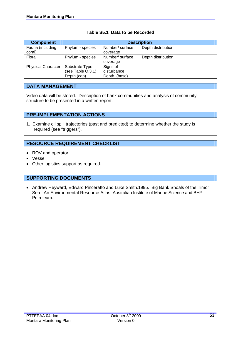| <b>Component</b>          |                   | <b>Description</b> |                    |  |  |  |  |  |
|---------------------------|-------------------|--------------------|--------------------|--|--|--|--|--|
| Fauna (including          | Phylum - species  | Number/ surface    | Depth distribution |  |  |  |  |  |
| coral)                    |                   | coverage           |                    |  |  |  |  |  |
| Flora                     | Phylum - species  | Number/ surface    | Depth distribution |  |  |  |  |  |
|                           |                   | coverage           |                    |  |  |  |  |  |
| <b>Physical Character</b> | Substrate Type    | Signs of           |                    |  |  |  |  |  |
|                           | (see Table O.3.1) | disturbance        |                    |  |  |  |  |  |
|                           | Depth (cap)       | Depth (base)       |                    |  |  |  |  |  |

# **Table S5.1 Data to be Recorded**

# **DATA MANAGEMENT**

Video data will be stored. Description of bank communities and analysis of community structure to be presented in a written report.

# **PRE-IMPLEMENTATION ACTIONS**

1. Examine oil spill trajectories (past and predicted) to determine whether the study is required (see "triggers").

# **RESOURCE REQUIREMENT CHECKLIST**

- ROV and operator.
- Vessel.
- Other logistics support as required.

# **SUPPORTING DOCUMENTS**

• Andrew Heyward, Edward Pinceratto and Luke Smith.1995.Big Bank Shoals of the Timor Sea: An Environmental Resource Atlas. Australian Institute of Marine Science and BHP Petroleum.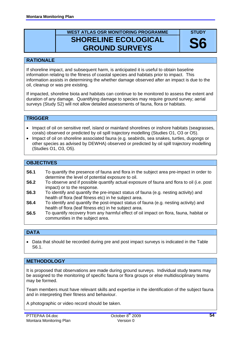# **WEST ATLAS OSR MONITORING PROGRAMME SHORELINE ECOLOGICAL GROUND SURVEYS**

**STUDY** 

**S6** 

# **RATIONALE**

If shoreline impact, and subsequent harm, is anticipated it is useful to obtain baseline information relating to the fitness of coastal species and habitats prior to impact. This information assists in determining the whether damage observed after an impact is due to the oil, cleanup or was pre existing.

If impacted, shoreline biota and habitats can continue to be monitored to assess the extent and duration of any damage. Quantifying damage to species may require ground survey; aerial surveys (Study S2) will not allow detailed assessments of fauna, flora or habitats.

# **TRIGGER**

- Impact of oil on sensitive reef, island or mainland shorelines or inshore habitats (seagrasses, corals) observed or predicted by oil spill trajectory modelling (Studies O1, O3 or O5).
- Impact of oil on shoreline associated fauna (e.g. seabirds, sea snakes, turtles, dugongs or other species as advised by DEWHA) observed or predicted by oil spill trajectory modelling (Studies O1, O3, O5).

# **OBJECTIVES**

- **S6.1** To quantify the presence of fauna and flora in the subject area pre-impact in order to determine the level of potential exposure to oil.
- **S6.2** To observe and if possible quantify actual exposure of fauna and flora to oil (i.e. post impact) or to the response.
- **S6.3** To identify and quantify the pre-impact status of fauna (e.g. nesting activity) and health of flora (leaf fitness etc) in he subject area.
- **S6.4** To identify and quantify the post-impact status of fauna (e.g. nesting activity) and health of flora (leaf fitness etc) in he subject area.
- **S6.5** To quantify recovery from any harmful effect of oil impact on flora, fauna, habitat or communities in the subject area.

# **DATA**

• Data that should be recorded during pre and post impact surveys is indicated in the Table S6.1.

# **METHODOLOGY**

It is proposed that observations are made during ground surveys. Individual study teams may be assigned to the monitoring of specific fauna or flora groups or else multidisciplinary teams may be formed.

Team members must have relevant skills and expertise in the identification of the subject fauna and in interpreting their fitness and behaviour.

A photographic or video record should be taken.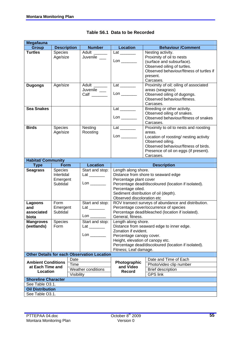| <b>Megafauna</b>               |                            |                                                    |                                  |                                                                    |
|--------------------------------|----------------------------|----------------------------------------------------|----------------------------------|--------------------------------------------------------------------|
| <b>Group</b>                   | <b>Description</b>         | <b>Number</b>                                      | <b>Location</b>                  | <b>Behaviour /Comment</b>                                          |
| <b>Turtles</b>                 | <b>Species</b>             | Adult                                              |                                  | Nesting activity.                                                  |
|                                | Age/size                   | Juvenile __                                        |                                  | Proximity of oil to nests                                          |
|                                |                            |                                                    |                                  | (surface and subsurface).                                          |
|                                |                            |                                                    |                                  | Observed oiling of turtles.                                        |
|                                |                            |                                                    |                                  | Observed behaviour/fitness of turtles if                           |
|                                |                            |                                                    |                                  | present.                                                           |
|                                |                            |                                                    |                                  | Carcases.                                                          |
| <b>Dugongs</b>                 | Age/size                   | Adult ______                                       | $Lat$ <sub>_________</sub>       | Proximity of oil; oiling of associated                             |
|                                |                            | Juvenile __                                        |                                  | areas (seagrass)                                                   |
|                                |                            | $Call$ <sub>________</sub>                         |                                  | Observed oiling of dugongs.                                        |
|                                |                            |                                                    |                                  | Observed behaviour/fitness.                                        |
|                                |                            |                                                    |                                  | Carcases.                                                          |
| <b>Sea Snakes</b>              |                            |                                                    |                                  | Breeding or other activity.                                        |
|                                |                            |                                                    |                                  | Observed oiling of snakes.<br>Observed behaviour/fitness of snakes |
|                                |                            |                                                    |                                  | Carcases.                                                          |
| <b>Birds</b>                   |                            | Nesting                                            |                                  | Proximity to oil to nests and roosting                             |
|                                | <b>Species</b><br>Age/size | Roosting                                           | $Lat$ <sub>_________</sub>       | areas.                                                             |
|                                |                            |                                                    |                                  | Location of roosting/ nesting activity                             |
|                                |                            |                                                    |                                  | Observed oiling.                                                   |
|                                |                            |                                                    |                                  | Observed behaviour/fitness of birds.                               |
|                                |                            |                                                    |                                  | Presence of oil on eggs (if present).                              |
|                                |                            |                                                    |                                  | Carcases.                                                          |
| <b>Habitat/ Community</b>      |                            |                                                    |                                  |                                                                    |
| <b>Type</b>                    | Form                       | <b>Location</b>                                    |                                  | <b>Description</b>                                                 |
| <b>Seagrass</b>                | Species                    | Start and stop:                                    | Length along shore.              |                                                                    |
|                                | Intertidal                 |                                                    |                                  | Distance from shore to seaward edge                                |
|                                | Emergent                   |                                                    | Percentage plant cover           |                                                                    |
|                                | Subtidal                   | $\mathsf{Lon} \_\_\_\_\_\_\$                       |                                  | Percentage dead/discoloured (location if isolated).                |
|                                |                            |                                                    | Percentage oiled.                |                                                                    |
|                                |                            |                                                    |                                  | Sediment distribution of oil (depth).                              |
|                                |                            |                                                    | Observed discoloration etc       |                                                                    |
| Lagoons                        | Form                       | Start and stop:                                    |                                  | ROV transect surveys of abundance and distribution.                |
| and                            | Emergent                   |                                                    |                                  | Percentage cover/occurrence of species                             |
| associated                     | Subtidal                   |                                                    |                                  | Percentage dead/bleached (location if isolated).                   |
| biota                          |                            | $\mathsf{Lon} \_\_\_\_\_\_\_\$                     | General, fitness.                |                                                                    |
| <b>Mangroves</b><br>(wetlands) | Species                    | Start and stop:                                    | Length along shore.              |                                                                    |
|                                | Form                       | Latings                                            | Zonation if evident.             | Distance from seaward edge to inner edge.                          |
|                                |                            | $\mathsf{Lon} \_\_\_\_\_\_\$                       | Percentage canopy cover.         |                                                                    |
|                                |                            |                                                    | Height, elevation of canopy etc. |                                                                    |
|                                |                            |                                                    |                                  | Percentage dead/discoloured (location if isolated).                |
|                                |                            |                                                    | Fitness; Leaf damage.            |                                                                    |
|                                |                            | <b>Other Details for each Observation Location</b> |                                  |                                                                    |
| Date                           |                            |                                                    |                                  | Date and Time of Each                                              |
| <b>Ambient Conditions</b>      | Time                       |                                                    | Photographic                     | Photo/video clip number                                            |
| at Each Time and               |                            | Weather conditions                                 | and Video                        | <b>Brief description</b>                                           |
| Location                       | Visibility                 |                                                    | Record                           | <b>GPS link</b>                                                    |
| <b>Shoreline Character</b>     |                            |                                                    |                                  |                                                                    |
| See Table O3.1.                |                            |                                                    |                                  |                                                                    |
| <b>Oil Distribution</b>        |                            |                                                    |                                  |                                                                    |
| See Table O3.1.                |                            |                                                    |                                  |                                                                    |

#### **Table S6.1 Data to be Recorded**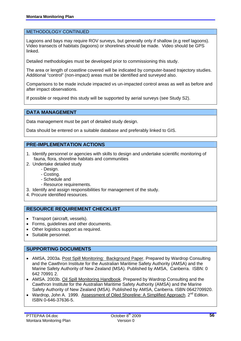#### METHODOLOGY CONTINUED

Lagoons and bays may require ROV surveys, but generally only if shallow (e.g reef lagoons). Video transects of habitats (lagoons) or shorelines should be made. Video should be GPS linked.

Detailed methodologies must be developed prior to commissioning this study.

The area or length of coastline covered will be indicated by computer-based trajectory studies. Additional "control" (non-impact) areas must be identified and surveyed also.

Comparisons to be made include impacted vs un-impacted control areas as well as before and after impact observations.

If possible or required this study will be supported by aerial surveys (see Study S2).

#### **DATA MANAGEMENT**

Data management must be part of detailed study design.

Data should be entered on a suitable database and preferably linked to GIS.

#### **PRE-IMPLEMENTATION ACTIONS**

- 1. Identify personnel or agencies with skills to design and undertake scientific monitoring of fauna, flora, shoreline habitats and communities
- 2. Undertake detailed study
	- Design.
	- Costing.
	- Schedule and
	- Resource requirements.
- 3. Identify and assign responsibilities for management of the study.
- 4. Procure identified resources.

# **RESOURCE REQUIREMENT CHECKLIST**

- Transport (aircraft, vessels).
- Forms, guidelines and other documents.
- Other logistics support as required.
- Suitable personnel.

#### **SUPPORTING DOCUMENTS**

- AMSA, 2003a. Post Spill Monitoring: Background Paper. Prepared by Wardrop Consulting and the Cawthron Institute for the Australian Maritime Safety Authority (AMSA) and the Marine Safety Authority of New Zealand (MSA). Published by AMSA, Canberra. ISBN: 0 642 70991 2.
- AMSA. 2003b. Oil Spill Monitoring Handbook. Prepared by Wardrop Consulting and the Cawthron Institute for the Australian Maritime Safety Authority (AMSA) and the Marine Safety Authority of New Zealand (MSA). Published by AMSA, Canberra. ISBN 0642709920.
- Wardrop, John A. 1999. Assessment of Oiled Shoreline: A Simplified Approach. 2<sup>nd</sup> Edition. ISBN 0-646-37636-5.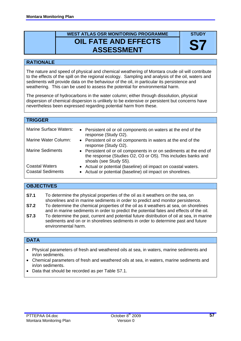# **WEST ATLAS OSR MONITORING PROGRAMME OIL FATE AND EFFECTS ASSESSMENT**

**STUDY** 

**S7** 

# **RATIONALE**

The nature and speed of physical and chemical weathering of Montara crude oil will contribute to the effects of the spill on the regional ecology. Sampling and analysis of the oil, waters and sediments will provide data on the behaviour of the oil, in particular its persistence and weathering. This can be used to assess the potential for environmental harm.

The presence of hydrocarbons in the water column; either through dissolution, physical dispersion of chemical dispersion is unlikely to be extensive or persistent but concerns have nevertheless been expressed regarding potential harm from these.

| <b>TRIGGER</b>                                    |                                                                                                                                                               |
|---------------------------------------------------|---------------------------------------------------------------------------------------------------------------------------------------------------------------|
| Marine Surface Waters:                            | • Persistent oil or oil components on waters at the end of the<br>response (Study O2).                                                                        |
| Marine Water Column:                              | • Persistent oil or oil components in waters at the end of the<br>response (Study O2).                                                                        |
| <b>Marine Sediments</b>                           | • Persistent oil or oil components in or on sediments at the end of<br>the response (Studies O2, O3 or O5). This includes banks and<br>shoals (see Study S5). |
| <b>Coastal Waters</b><br><b>Coastal Sediments</b> | • Actual or potential (baseline) oil impact on coastal waters.<br>• Actual or potential (baseline) oil impact on shorelines.                                  |

# **OBJECTIVES**

- **S7.1** To determine the physical properties of the oil as it weathers on the sea, on shorelines and in marine sediments in order to predict and monitor persistence. **S7.2** To determine the chemical properties of the oil as it weathers at sea, on shorelines
- and in marine sediments in order to predict the potential fates and effects of the oil.
- **S7.3** To determine the past, current and potential future distribution of oil at sea, in marine sediments and on or in shorelines sediments in order to determine past and future environmental harm.

# **DATA**

- Physical parameters of fresh and weathered oils at sea, in waters, marine sediments and in/on sediments.
- Chemical parameters of fresh and weathered oils at sea, in waters, marine sediments and in/on sediments.
- Data that should be recorded as per Table S7.1.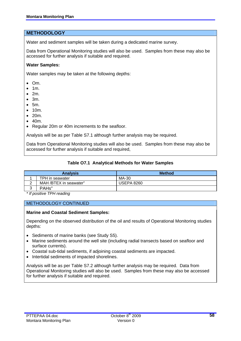# **METHODOLOGY**

Water and sediment samples will be taken during a dedicated marine survey.

Data from Operational Monitoring studies will also be used. Samples from these may also be accessed for further analysis if suitable and required.

#### **Water Samples:**

Water samples may be taken at the following depths:

- Om.
- 1m.
- $2m.$
- $\bullet$  3m.
- 5m.
- 10m.
- 20m.
- 40m.
- Regular 20m or 40m increments to the seafloor.

Analysis will be as per Table S7.1 although further analysis may be required.

Data from Operational Monitoring studies will also be used. Samples from these may also be accessed for further analysis if suitable and required,

#### **Table O7.1 Analytical Methods for Water Samples**

| <b>Analysis</b> |                        | <b>Method</b>     |
|-----------------|------------------------|-------------------|
|                 | TPH in seawater        | MA-30             |
| <u>_</u>        | MAH /BTEX in seawater" | <b>USEPA 8260</b> |
| ⌒               | PAHs"                  |                   |

*\* If positive TPH reading* 

#### METHODOLOGY CONTINUED

#### **Marine and Coastal Sediment Samples:**

Depending on the observed distribution of the oil and results of Operational Monitoring studies depths:

- Sediments of marine banks (see Study S5).
- Marine sediments around the well site (including radial transects based on seafloor and surface currents).
- Coastal sub-tidal sediments, if adjoining coastal sediments are impacted.
- Intertidal sediments of impacted shorelines.

Analysis will be as per Table S7.2 although further analysis may be required. Data from Operational Monitoring studies will also be used. Samples from these may also be accessed for further analysis if suitable and required.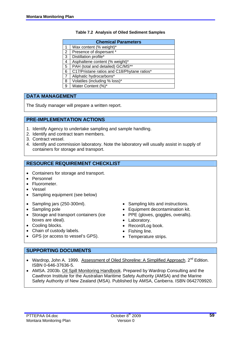#### **Table 7.2 Analysis of Oiled Sediment Samples**

|   | <b>Chemical Parameters</b>                  |  |  |
|---|---------------------------------------------|--|--|
|   | Wax content (% weight)*                     |  |  |
| 2 | Presence of dispersant *                    |  |  |
| 3 | Distillation profile*                       |  |  |
| 4 | Asphaltene content (% weight)*              |  |  |
| 5 | PAH (total and detailed) GC/MS**            |  |  |
| 6 | C17/Pristane ratios and C18/Phytane ratios* |  |  |
|   | Aliphatic hydrocarbons*                     |  |  |
| 8 | Volatiles (including % loss)*               |  |  |

9 Water Content (%)\*

# **DATA MANAGEMENT**

The Study manager will prepare a written report.

# **PRE-IMPLEMENTATION ACTIONS**

- 1. Identify Agency to undertake sampling and sample handling.
- 2. Identify and contract team members.
- 3. Contract vessel.
- 4. Identify and commission laboratory. Note the laboratory will usually assist in supply of containers for storage and transport.

# **RESOURCE REQUIREMENT CHECKLIST**

- Containers for storage and transport.
- Personnel
- Fluorometer.
- Vessel
- Sampling equipment (see below)
- Sampling jars (250-300ml).
- Sampling pole
- Storage and transport containers (ice boxes are ideal).
- Cooling blocks.
- Chain of custody labels.
- GPS (or access to vessel's GPS).
- Sampling kits and instructions.
- Equipment decontamination kit.
- PPE (gloves, goggles, overalls).
- Laboratory.
- Record/Log book.
- Fishing line.
- Temperature strips.

# **SUPPORTING DOCUMENTS**

- Wardrop, John A. 1999. Assessment of Oiled Shoreline: A Simplified Approach. 2<sup>nd</sup> Edition. ISBN 0-646-37636-5.
- AMSA. 2003b. Oil Spill Monitoring Handbook. Prepared by Wardrop Consulting and the Cawthron Institute for the Australian Maritime Safety Authority (AMSA) and the Marine Safety Authority of New Zealand (MSA). Published by AMSA, Canberra. ISBN 0642709920.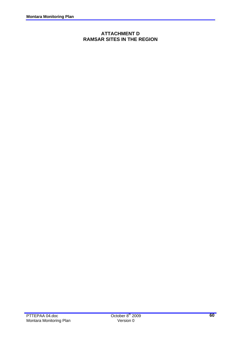# **ATTACHMENT D RAMSAR SITES IN THE REGION**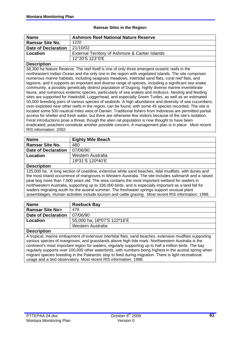#### **Ramsar Sites in the Region:**

| <b>Name</b>                                                                                               | <b>Ashmore Reef National Nature Reserve</b>                                                           |  |  |
|-----------------------------------------------------------------------------------------------------------|-------------------------------------------------------------------------------------------------------|--|--|
| <b>Ramsar Site No.</b>                                                                                    | 1220                                                                                                  |  |  |
| <b>Date of Declaration</b>                                                                                | 21/10/02                                                                                              |  |  |
| Location                                                                                                  | External Territory of Ashmore & Cartier Islands                                                       |  |  |
|                                                                                                           | 12°20'S 123°0'E                                                                                       |  |  |
| <b>Description</b>                                                                                        |                                                                                                       |  |  |
|                                                                                                           | 58,300 ha Nature Reserve. The reef itself is one of only three emergent oceanic reefs in the          |  |  |
| northeastern Indian Ocean and the only one in the region with vegetated islands. The site comprises       |                                                                                                       |  |  |
| numerous marine habitats, including seagrass meadows, intertidal sand flats, coral reef flats, and        |                                                                                                       |  |  |
|                                                                                                           | lagoons, and it supports an important and diverse range of species, including a significant sea snake |  |  |
|                                                                                                           | community, a possibly genetically distinct population of Dugong, highly diverse marine invertebrate   |  |  |
|                                                                                                           | fauna, and numerous endemic species, particularly of sea snakes and molluscs. Nesting and feeding     |  |  |
|                                                                                                           | sites are supported for Hawksbill, Loggerhead, and especially Green Turtles, as well as an estimated  |  |  |
| 50,000 breeding pairs of various species of seabirds. A high abundance and diversity of sea cucumbers,    |                                                                                                       |  |  |
| over-exploited near other reefs in the region, can be found, with some 45 species recorded. The site is   |                                                                                                       |  |  |
| located some 500 nautical miles west of Darwin. Traditional fishers from Indonesia are permitted partial  |                                                                                                       |  |  |
| access for shelter and fresh water, but there are otherwise few visitors because of the site's isolation. |                                                                                                       |  |  |
| Feral introductions pose a threat, though the alien rat population is now thought to have been            |                                                                                                       |  |  |
| eradicated; poachers constitute another possible concern. A management plan is in place. Most recent      |                                                                                                       |  |  |
| RIS information: 2002                                                                                     |                                                                                                       |  |  |

| <b>Name</b>                | <b>Eighty Mile Beach</b> |
|----------------------------|--------------------------|
| <b>Ramsar Site No.</b>     | 480                      |
| <b>Date of Declaration</b> | 07/06/90                 |
| Location                   | Western Australia        |
|                            | 19°31'S 120°40'E         |

#### **Description**

125,000 ha. A long section of coastline, extensive white sand beaches, tidal mudflats, with dunes and the most inland occurrence of mangroves in Western Australia. The site includes saltmarsh and a raised peat bog more than 7,000 years old. The area contains the most important wetland for waders in northwestern Australia, supporting up to 336,000 birds, and is especially important as a land fall for waders migrating south for the austral summer. The freshwater springs support unusual plant assemblages. Human activities include tourism and cattle grazing. Most recent RIS information: 1998.

| <b>Name</b>                | <b>Roebuck Bay</b>          |
|----------------------------|-----------------------------|
| <b>Ramsar Site No&gt;</b>  | 479.                        |
| <b>Date of Declaration</b> | 07/06/90                    |
| Location                   | 55,000 ha; 18°07'S 122°16'E |
|                            | Western Australia           |
| <b>Donarintian</b>         |                             |

#### **Description**

A tropical, marine embayment of extensive intertidal flats, sand beaches, extensive mudflats supporting various species of mangroves, and grasslands above high tide mark. Northwestern Australia is the continent's most important region for waders, regularly supporting up to half a million birds. The bay regularly supports over 100,000 other waterbirds, with numbers being highest in the austral spring when migrant species breeding in the Palearctic stop to feed during migration. There is light recreational usage and a bird observatory. Most recent RIS information: 1998.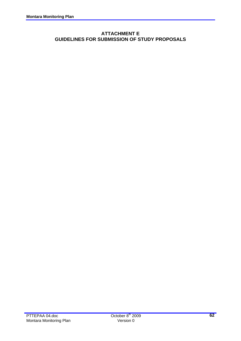# **ATTACHMENT E GUIDELINES FOR SUBMISSION OF STUDY PROPOSALS**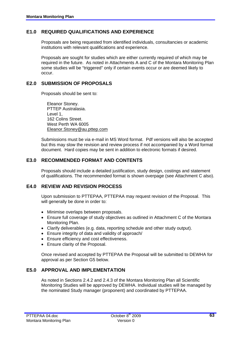# **E1.0 REQUIRED QUALIFICATIONS AND EXPERIENCE**

 Proposals are being requested from identified individuals, consultancies or academic institutions with relevant qualifications and experience.

 Proposals are sought for studies which are either currently required of which may be required in the future. As noted in Attachments A and C of the Montara Monitoring Plan some studies will be "triggered" only if certain events occur or are deemed likely to occur.

#### **E2.0 SUBMISSION OF PROPOSALS**

Proposals should be sent to:

 Eleanor Stoney. PTTEP Australasia. Level 1, 162 Colins Street. West Perth WA 6005 Eleanor.Stoney@au.pttep.com

 Submissions must be via e-mail in MS Word format. Pdf versions will also be accepted but this may slow the revision and review process if not accompanied by a Word format document. Hard copies may be sent in addition to electronic formats if desired.

# **E3.0 RECOMMENDED FORMAT AND CONTENTS**

 Proposals should include a detailed justification, study design, costings and statement of qualifications. The recommended format is shown overpage (see Attachment C also).

# **E4.0 REVIEW AND REVISION PROCESS**

 Upon submission to PTTEPAA, PTTEPAA may request revision of the Proposal. This will generally be done in order to:

- Minimise overlaps between proposals.
- Ensure full coverage of study objectives as outlined in Attachment C of the Montara Monitoring Plan.
- Clarify deliverables (e.g. data, reporting schedule and other study output).
- Ensure integrity of data and validity of approach/
- Ensure efficiency and cost effectiveness.
- Ensure clarity of the Proposal.

 Once revised and accepted by PTTEPAA the Proposal will be submitted to DEWHA for approval as per Section G5 below.

#### **E5.0 APPROVAL AND IMPLEMENTATION**

 As noted in Sections 2.4.2 and 2.4.3 of the Montara Monitoring Plan all Scientific Monitoring Studies will be approved by DEWHA. Individual studies will be managed by the nominated Study manager (proponent) and coordinated by PTTEPAA.